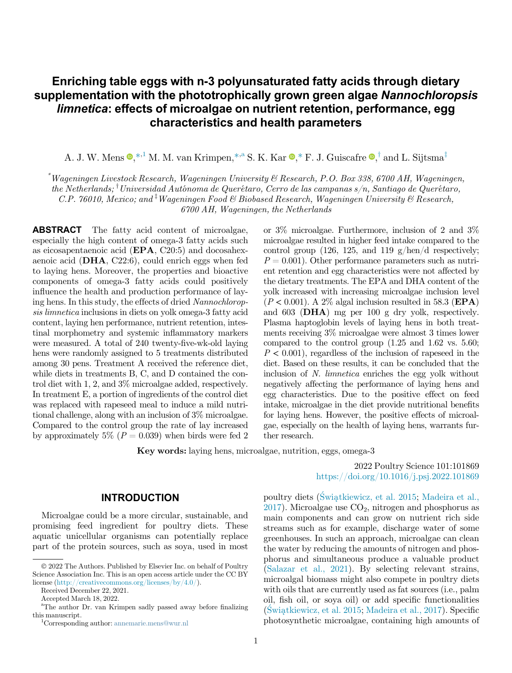# Enriching table eggs with n-3 polyunsaturated fatty acids through dietary supplementation with the phototrophically grown green algae Nannochloropsis limnetica: effects of microalgae on nutrient retention, performance, egg characteristics and health parameters

A. J. W. Mens  $\mathbf{Q},*,^1$  $\mathbf{Q},*,^1$  $\mathbf{Q},*,^1$  $\mathbf{Q},*,^1$  M. M. van Krimpen,<sup>[\\*](#page-0-0),[a](#page-0-2)</sup> S. K. Kar  $\mathbf{Q},^*$  $\mathbf{Q},^*$  $\mathbf{Q},^*$  F. J. Guiscafre  $\mathbf{Q},^{\dagger}$  [and](#page-0-4) [L.](#page-0-4) [Sijtsma](#page-0-4)<sup>‡</sup>

<span id="page-0-3"></span><span id="page-0-0"></span>\* Wageningen Livestock Research, Wageningen University & Research, P.O. Box 338, 6700 AH, Wageningen, the Netherlands; <sup>†</sup>Universidad Autónoma de Querétaro, Cerro de las campanas s/n, Santiago de Querétaro, C.P. 76010, Mexico; and <sup>†</sup>Wageningen Food & Biobased Research, Wageningen University & Research, 6700 AH, Wageningen, the Netherlands

<span id="page-0-4"></span>ABSTRACT The fatty acid content of microalgae, especially the high content of omega-3 fatty acids such as eicosapentaenoic acid (EPA, C20:5) and docosahexaenoic acid (DHA, C22:6), could enrich eggs when fed to laying hens. Moreover, the properties and bioactive components of omega-3 fatty acids could positively influence the health and production performance of laying hens. In this study, the effects of dried Nannochloropsis limnetica inclusions in diets on yolk omega-3 fatty acid content, laying hen performance, nutrient retention, intestinal morphometry and systemic inflammatory markers were measured. A total of 240 twenty-five-wk-old laying hens were randomly assigned to 5 treatments distributed among 30 pens. Treatment A received the reference diet, while diets in treatments B, C, and D contained the control diet with 1, 2, and 3% microalgae added, respectively. In treatment E, a portion of ingredients of the control diet was replaced with rapeseed meal to induce a mild nutritional challenge, along with an inclusion of 3% microalgae. Compared to the control group the rate of lay increased by approximately 5% ( $P = 0.039$ ) when birds were fed 2

or 3% microalgae. Furthermore, inclusion of 2 and 3% microalgae resulted in higher feed intake compared to the control group (126, 125, and 119  $g/hen/d$  respectively;  $P = 0.001$ . Other performance parameters such as nutrient retention and egg characteristics were not affected by the dietary treatments. The EPA and DHA content of the yolk increased with increasing microalgae inclusion level  $(P < 0.001)$ . A 2% algal inclusion resulted in 58.3 (EPA) and 603 (DHA) mg per 100 g dry yolk, respectively. Plasma haptoglobin levels of laying hens in both treatments receiving 3% microalgae were almost 3 times lower compared to the control group (1.25 and 1.62 vs. 5.60;  $P < 0.001$ , regardless of the inclusion of rapeseed in the diet. Based on these results, it can be concluded that the inclusion of N. limnetica enriches the egg yolk without negatively affecting the performance of laying hens and egg characteristics. Due to the positive effect on feed intake, microalgae in the diet provide nutritional benefits for laying hens. However, the positive effects of microalgae, especially on the health of laying hens, warrants further research.

Key words: laying hens, microalgae, nutrition, eggs, omega-3

#### INTRODUCTION

Microalgae could be a more circular, sustainable, and promising feed ingredient for poultry diets. These aquatic unicellular organisms can potentially replace part of the protein sources, such as soya, used in most

Received December 22, 2021.

2022 Poultry Science 101:101869 <https://doi.org/10.1016/j.psj.2022.101869>

poultry diets ([Swi](#page-12-0)a[tkiewicz, et al. 2015](#page-12-0); [Madeira et al.,](#page-11-0)  $2017$ ). Microalgae use  $CO<sub>2</sub>$ , nitrogen and phosphorus as main components and can grow on nutrient rich side streams such as for example, discharge water of some greenhouses. In such an approach, microalgae can clean the water by reducing the amounts of nitrogen and phosphorus and simultaneous produce a valuable product ([Salazar et al., 2021\)](#page-11-1). By selecting relevant strains, microalgal biomass might also compete in poultry diets with oils that are currently used as fat sources (i.e., palm oil, fish oil, or soya oil) or add specific functionalities  $(Swiathiewicz, et al. 2015; Madeira et al., 2017). Specific$  $(Swiathiewicz, et al. 2015; Madeira et al., 2017). Specific$  $(Swiathiewicz, et al. 2015; Madeira et al., 2017). Specific$  $(Swiathiewicz, et al. 2015; Madeira et al., 2017). Specific$  $(Swiathiewicz, et al. 2015; Madeira et al., 2017). Specific$ photosynthetic microalgae, containing high amounts of

2022 The Authors. Published by Elsevier Inc. on behalf of Poultry Science Association Inc. This is an open access article under the CC BY license [\(http://creativecommons.org/licenses/by/4.0/](http://creativecommons.org/licenses/by/4.0/)).

Accepted March 18, 2022.

<span id="page-0-2"></span><span id="page-0-1"></span>a The author Dr. van Krimpen sadly passed away before finalizing this manuscript. <sup>1</sup>

Corresponding author: [annemarie.mens@wur.nl](mailto:annemarie.mens@wur.nl)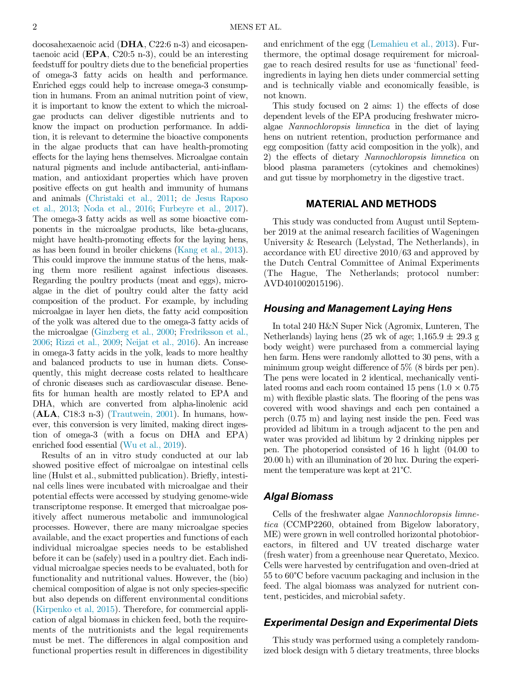docosahexaenoic acid (DHA, C22:6 n-3) and eicosapentaenoic acid ( $EPA$ , C20:5 n-3), could be an interesting feedstuff for poultry diets due to the beneficial properties of omega-3 fatty acids on health and performance. Enriched eggs could help to increase omega-3 consumption in humans. From an animal nutrition point of view, it is important to know the extent to which the microalgae products can deliver digestible nutrients and to know the impact on production performance. In addition, it is relevant to determine the bioactive components in the algae products that can have health-promoting effects for the laying hens themselves. Microalgae contain natural pigments and include antibacterial, anti-inflammation, and antioxidant properties which have proven positive effects on gut health and immunity of humans and animals [\(Christaki et al., 2011](#page-11-2); [de Jesus Raposo](#page-11-3) [et al., 2013;](#page-11-3) [Noda et al., 2016;](#page-11-4) [Furbeyre et al., 2017](#page-11-5)). The omega-3 fatty acids as well as some bioactive components in the microalgae products, like beta-glucans, might have health-promoting effects for the laying hens, as has been found in broiler chickens ([Kang et al., 2013](#page-11-6)). This could improve the immune status of the hens, making them more resilient against infectious diseases. Regarding the poultry products (meat and eggs), microalgae in the diet of poultry could alter the fatty acid composition of the product. For example, by including microalgae in layer hen diets, the fatty acid composition of the yolk was altered due to the omega-3 fatty acids of the microalgae [\(Ginzberg et al., 2000;](#page-11-7) [Fredriksson et al.,](#page-11-8) [2006](#page-11-8); [Rizzi et al., 2009;](#page-11-9) [Neijat et al., 2016\)](#page-11-10). An increase in omega-3 fatty acids in the yolk, leads to more healthy and balanced products to use in human diets. Consequently, this might decrease costs related to healthcare of chronic diseases such as cardiovascular disease. Benefits for human health are mostly related to EPA and DHA, which are converted from alpha-linolenic acid (ALA, C18:3 n-3) [\(Trautwein, 2001](#page-12-1)). In humans, however, this conversion is very limited, making direct ingestion of omega-3 (with a focus on DHA and EPA) enriched food essential [\(Wu et al., 2019\)](#page-12-2).

Results of an in vitro study conducted at our lab showed positive effect of microalgae on intestinal cells line (Hulst et al., submitted publication). Briefly, intestinal cells lines were incubated with microalgae and their potential effects were accessed by studying genome-wide transcriptome response. It emerged that microalgae positively affect numerous metabolic and immunological processes. However, there are many microalgae species available, and the exact properties and functions of each individual microalgae species needs to be established before it can be (safely) used in a poultry diet. Each individual microalgae species needs to be evaluated, both for functionality and nutritional values. However, the (bio) chemical composition of algae is not only species-specific but also depends on different environmental conditions ([Kirpenko et al, 2015\)](#page-11-11). Therefore, for commercial application of algal biomass in chicken feed, both the requirements of the nutritionists and the legal requirements must be met. The differences in algal composition and functional properties result in differences in digestibility

and enrichment of the egg ([Lemahieu et al., 2013](#page-11-12)). Furthermore, the optimal dosage requirement for microalgae to reach desired results for use as 'functional' feedingredients in laying hen diets under commercial setting and is technically viable and economically feasible, is not known.

This study focused on 2 aims: 1) the effects of dose dependent levels of the EPA producing freshwater microalgae Nannochloropsis limnetica in the diet of laying hens on nutrient retention, production performance and egg composition (fatty acid composition in the yolk), and 2) the effects of dietary Nannochloropsis limnetica on blood plasma parameters (cytokines and chemokines) and gut tissue by morphometry in the digestive tract.

#### MATERIAL AND METHODS

This study was conducted from August until September 2019 at the animal research facilities of Wageningen University & Research (Lelystad, The Netherlands), in accordance with EU directive 2010/63 and approved by the Dutch Central Committee of Animal Experiments (The Hague, The Netherlands; protocol number: AVD401002015196).

## Housing and Management Laying Hens

In total 240 H&N Super Nick (Agromix, Lunteren, The Netherlands) laying hens (25 wk of age;  $1,165.9 \pm 29.3$  g body weight) were purchased from a commercial laying hen farm. Hens were randomly allotted to 30 pens, with a minimum group weight difference of 5% (8 birds per pen). The pens were located in 2 identical, mechanically ventilated rooms and each room contained 15 pens  $(1.0 \times 0.75)$ m) with flexible plastic slats. The flooring of the pens was covered with wood shavings and each pen contained a perch (0.75 m) and laying nest inside the pen. Feed was provided ad libitum in a trough adjacent to the pen and water was provided ad libitum by 2 drinking nipples per pen. The photoperiod consisted of 16 h light (04.00 to 20.00 h) with an illumination of 20 lux. During the experiment the temperature was kept at 21°C.

## Algal Biomass

Cells of the freshwater algae Nannochloropsis limnetica (CCMP2260, obtained from Bigelow laboratory, ME) were grown in well controlled horizontal photobioreactors, in filtered and UV treated discharge water (fresh water) from a greenhouse near Queretato, Mexico. Cells were harvested by centrifugation and oven-dried at 55 to 60°C before vacuum packaging and inclusion in the feed. The algal biomass was analyzed for nutrient content, pesticides, and microbial safety.

## Experimental Design and Experimental Diets

This study was performed using a completely randomized block design with 5 dietary treatments, three blocks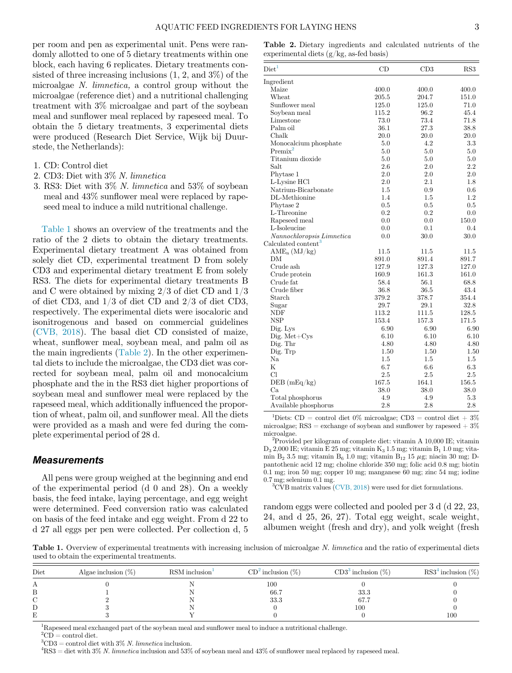<span id="page-2-1"></span>per room and pen as experimental unit. Pens were randomly allotted to one of 5 dietary treatments within one block, each having 6 replicates. Dietary treatments consisted of three increasing inclusions (1, 2, and 3%) of the microalgae N. limnetica, a control group without the microalgae (reference diet) and a nutritional challenging treatment with 3% microalgae and part of the soybean meal and sunflower meal replaced by rapeseed meal. To obtain the 5 dietary treatments, 3 experimental diets were produced (Research Diet Service, Wijk bij Duurstede, the Netherlands):

- 1. CD: Control diet
- 2. CD3: Diet with 3% N. limnetica
- 3. RS3: Diet with 3% N. limnetica and 53% of soybean meal and 43% sunflower meal were replaced by rapeseed meal to induce a mild nutritional challenge.

[Table 1](#page-2-0) shows an overview of the treatments and the ratio of the 2 diets to obtain the dietary treatments. Experimental dietary treatment A was obtained from solely diet CD, experimental treatment D from solely CD3 and experimental dietary treatment E from solely RS3. The diets for experimental dietary treatments B and C were obtained by mixing 2/3 of diet CD and 1/3 of diet CD3, and 1/3 of diet CD and 2/3 of diet CD3, respectively. The experimental diets were isocaloric and isonitrogenous and based on commercial guidelines ([CVB, 2018\)](#page-11-13). The basal diet CD consisted of maize, wheat, sunflower meal, soybean meal, and palm oil as the main ingredients ([Table 2](#page-2-1)). In the other experimental diets to include the microalgae, the CD3 diet was corrected for soybean meal, palm oil and monocalcium phosphate and the in the RS3 diet higher proportions of soybean meal and sunflower meal were replaced by the rapeseed meal, which additionally influenced the proportion of wheat, palm oil, and sunflower meal. All the diets were provided as a mash and were fed during the complete experimental period of 28 d.

#### <span id="page-2-6"></span><span id="page-2-5"></span>**Measurements**

<span id="page-2-7"></span>All pens were group weighed at the beginning and end of the experimental period (d 0 and 28). On a weekly basis, the feed intake, laying percentage, and egg weight were determined. Feed conversion ratio was calculated on basis of the feed intake and egg weight. From d 22 to d 27 all eggs per pen were collected. Per collection d, 5

Table 2. Dietary ingredients and calculated nutrients of the experimental diets (g/kg, as-fed basis)

| $\mathrm{Diet}^1$               | CD    | CD3     | RS3     |
|---------------------------------|-------|---------|---------|
| Ingredient                      |       |         |         |
| Maize                           | 400.0 | 400.0   | 400.0   |
| $\operatorname{Wheat}$          | 205.5 | 204.7   | 151.0   |
| Sunflower meal                  | 125.0 | 125.0   | 71.0    |
| Soybean meal                    | 115.2 | 96.2    | 45.4    |
| Limestone                       | 73.0  | 73.4    | 71.8    |
| Palm oil                        | 36.1  | 27.3    | 38.8    |
| Chalk                           | 20.0  | 20.0    | 20.0    |
| Monocalcium phosphate           | 5.0   | 4.2     | 3.3     |
| $Premix^2$                      | 5.0   | 5.0     | 5.0     |
| Titanium dioxide                | 5.0   | 5.0     | 5.0     |
| Salt                            | 2.6   | $2.0\,$ | 2.2     |
| Phytase 1                       | 2.0   | 2.0     | 2.0     |
| L-Lysine HCl                    | 2.0   | 2.1     | 1.8     |
| Natrium-Bicarbonate             | 1.5   | 0.9     | $0.6\,$ |
| DL-Methionine                   | 1.4   | 1.5     | 1.2     |
| Phytase 2                       | 0.5   | 0.5     | 0.5     |
| L-Threonine                     | 0.2   | 0.2     | 0.0     |
| Rapeseed meal                   | 0.0   | 0.0     | 150.0   |
| L-Isoleucine                    | 0.0   | 0.1     | 0.4     |
| Nannochloropsis Limnetica       | 0.0   | 30.0    | 30.0    |
| Calculated content <sup>3</sup> |       |         |         |
| $\text{AME}_{n}$ (MJ/kg)        | 11.5  | 11.5    | 11.5    |
| DΜ                              | 891.0 | 891.4   | 891.7   |
| Crude ash                       | 127.9 | 127.3   | 127.0   |
| Crude protein                   | 160.9 | 161.3   | 161.0   |
| Crude fat                       | 58.4  | 56.1    | 68.8    |
| Crude fiber                     | 36.8  | 36.5    | 43.4    |
| Starch                          | 379.2 | 378.7   | 354.4   |
| Sugar                           | 29.7  | 29.1    | 32.8    |
| NDF                             | 113.2 | 111.5   | 128.5   |
| <b>NSP</b>                      | 153.4 | 157.3   | 171.5   |
| Dig. Lys                        | 6.90  | 6.90    | 6.90    |
| $Digit. Met+Cys$                | 6.10  | 6.10    | 6.10    |
| Dig. Thr                        | 4.80  | 4.80    | 4.80    |
| Dig. Trp                        | 1.50  | 1.50    | 1.50    |
| Na                              | 1.5   | $1.5\,$ | $1.5\,$ |
| $\mathbf K$                     | 6.7   | 6.6     | 6.3     |
| Cl                              | 2.5   | 2.5     | 2.5     |
| DEB(mEq/kg)                     | 167.5 | 164.1   | 156.5   |
| Ca                              | 38.0  | 38.0    | 38.0    |
| Total phosphorus                | 4.9   | 4.9     | 5.3     |
| Available phosphorus            | 2.8   | 2.8     | 2.8     |

<sup>1</sup>Diets: CD = control diet 0% microalgae; CD3 = control diet + 3% microalgae;  $\text{RS3} = \text{exchange of soybean and sunflower by rangesed} + 3\%$ microalgae.

 ${}^{2}$ Provided per kilogram of complete diet: vitamin A 10,000 IE; vitamin  $D_3$  2,000 IE; vitamin E 25 mg; vitamin  $K_3$  1.5 mg; vitamin  $B_1$  1.0 mg; vitamin  $\mathrm{B}_2$  3.5 mg; vitamin  $\mathrm{B}_6$  1.0 mg; vitamin $\mathrm{B}_{12}$ 15  $\mu$ g; niacin 30 mg; Dpantothenic acid 12 mg; choline chloride 350 mg; folic acid 0.8 mg; biotin 0.1 mg; iron 50 mg; copper 10 mg; manganese 60 mg; zinc 54 mg; iodine  $0.7$  mg; selenium  $0.1$  mg.

 ${}^{3}$ CVB matrix values [\(CVB, 2018](#page-11-13)) were used for diet formulations.

random eggs were collected and pooled per 3 d (d 22, 23, 24, and d 25, 26, 27). Total egg weight, scale weight, albumen weight (fresh and dry), and yolk weight (fresh

<span id="page-2-0"></span>Table 1. Overview of experimental treatments with increasing inclusion of microalgae N. limnetica and the ratio of experimental diets used to obtain the experimental treatments.

| Diet | Algae inclusion $(\%)$ | $\text{RSM}$ inclusion | $CD2$ inclusion $(\%)$ | $CD33$ inclusion $(\%)$ | $\text{RS}3^4$ inclusion $(\%)$ |
|------|------------------------|------------------------|------------------------|-------------------------|---------------------------------|
|      |                        |                        | 100                    |                         |                                 |
|      |                        |                        | 66.7                   | 33.3                    |                                 |
|      |                        |                        | 33.3                   | 67.7                    |                                 |
|      |                        |                        |                        | 100                     |                                 |
|      |                        |                        |                        |                         | $100\,$                         |
|      |                        |                        |                        |                         |                                 |

<span id="page-2-2"></span><sup>1</sup>Rapeseed meal exchanged part of the soybean meal and sunflower meal to induce a nutritional challenge.

<span id="page-2-4"></span><span id="page-2-3"></span> $^2 \rm{CD} =$  control diet.

<sup>3</sup>CD3 = control diet with 3% N. *limnetica* inclusion.<br><sup>4</sup>BS3 = digt with 3<sup>0</sup>% N. *limnetica* inclusion and 53<sup>0</sup>%

 $RSS =$  diet with 3% N. limnetica inclusion and 53% of soybean meal and 43% of sunflower meal replaced by rapeseed meal.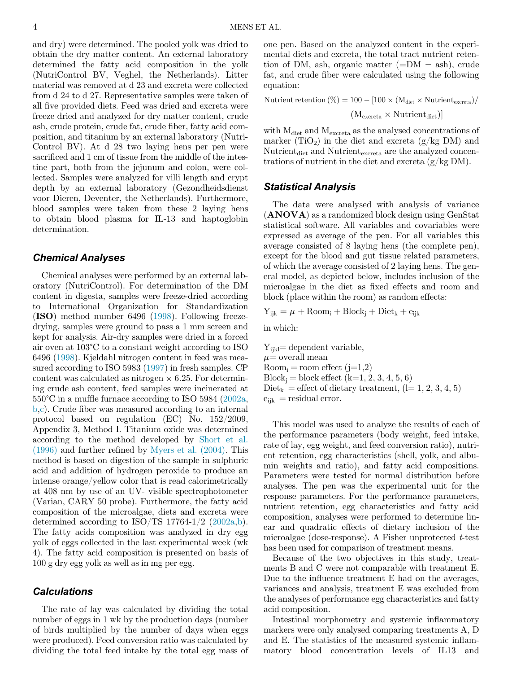and dry) were determined. The pooled yolk was dried to obtain the dry matter content. An external laboratory determined the fatty acid composition in the yolk (NutriControl BV, Veghel, the Netherlands). Litter material was removed at d 23 and excreta were collected from d 24 to d 27. Representative samples were taken of all five provided diets. Feed was dried and excreta were freeze dried and analyzed for dry matter content, crude ash, crude protein, crude fat, crude fiber, fatty acid composition, and titanium by an external laboratory (Nutri-Control BV). At d 28 two laying hens per pen were sacrificed and 1 cm of tissue from the middle of the intestine part, both from the jejunum and colon, were collected. Samples were analyzed for villi length and crypt depth by an external laboratory (Gezondheidsdienst voor Dieren, Deventer, the Netherlands). Furthermore, blood samples were taken from these 2 laying hens to obtain blood plasma for IL-13 and haptoglobin determination.

#### Chemical Analyses

Chemical analyses were performed by an external laboratory (NutriControl). For determination of the DM content in digesta, samples were freeze-dried according to International Organization for Standardization (ISO) method number 6496 ([1998](#page-11-14)). Following freezedrying, samples were ground to pass a 1 mm screen and kept for analysis. Air-dry samples were dried in a forced air oven at 103°C to a constant weight according to ISO 6496 ([1998\)](#page-11-14). Kjeldahl nitrogen content in feed was measured according to ISO 5983 ([1997](#page-11-15)) in fresh samples. CP content was calculated as nitrogen  $\times$  6.25. For determining crude ash content, feed samples were incinerated at 550°C in a muffle furnace according to ISO 5984 ([2002a](#page-11-16), [b](#page-11-17)[,c](#page-11-18)). Crude fiber was measured according to an internal protocol based on regulation (EC) No. 152/2009, Appendix 3, Method I. Titanium oxide was determined according to the method developed by [Short et al.](#page-12-3) [\(1996\)](#page-12-3) and further refined by [Myers et al. \(2004\)](#page-11-19). This method is based on digestion of the sample in sulphuric acid and addition of hydrogen peroxide to produce an intense orange/yellow color that is read calorimetrically at 408 nm by use of an UV- visible spectrophotometer (Varian, CARY 50 probe). Furthermore, the fatty acid composition of the microalgae, diets and excreta were determined according to  $ISO/TS$  17764-1/2 [\(2002a](#page-11-17)[,b](#page-11-18)). The fatty acids composition was analyzed in dry egg yolk of eggs collected in the last experimental week (wk 4). The fatty acid composition is presented on basis of 100 g dry egg yolk as well as in mg per egg.

### **Calculations**

The rate of lay was calculated by dividing the total number of eggs in 1 wk by the production days (number of birds multiplied by the number of days when eggs were produced). Feed conversion ratio was calculated by dividing the total feed intake by the total egg mass of one pen. Based on the analyzed content in the experimental diets and excreta, the total tract nutrient retention of DM, ash, organic matter ( $=$ DM  $-$  ash), crude fat, and crude fiber were calculated using the following equation:

$$
\begin{aligned} \text{Nutrient retention} \left( \% \right) = 100 - [100 \times (M_{\text{dict}} \times \text{Nutrient}_{\text{excreta}}) / \\ \left( M_{\text{excreta}} \times \text{Nutrient}_{\text{dict}} \right) ] \end{aligned}
$$

with  $M_{\text{dict}}$  and  $M_{\text{excrete}}$  as the analysed concentrations of marker  $(TiO_2)$  in the diet and excreta  $(g/kg \text{ DM})$  and Nutrient<sub>diet</sub> and Nutrient $_{\rm{excreta}}$  are the analyzed concentrations of nutrient in the diet and excreta  $(g/kg DM)$ .

#### Statistical Analysis

The data were analysed with analysis of variance (ANOVA) as a randomized block design using GenStat statistical software. All variables and covariables were expressed as average of the pen. For all variables this average consisted of 8 laying hens (the complete pen), except for the blood and gut tissue related parameters, of which the average consisted of 2 laying hens. The general model, as depicted below, includes inclusion of the microalgae in the diet as fixed effects and room and block (place within the room) as random effects:

$$
Y_{ijk} = \mu + \text{Room}_i + \text{Block}_j + \text{Dict}_k + e_{ijk}
$$

in which:

 $Y_{ijkl}$ = dependent variable,  $\mu$  = overall mean  $Room_i = room effect (j=1,2)$  $Block_i = block effect (k=1, 2, 3, 4, 5, 6)$  $Diet_k = \text{effect of dietary treatment}, (l=1, 2, 3, 4, 5)$  $e_{iik}$  = residual error.

This model was used to analyze the results of each of the performance parameters (body weight, feed intake, rate of lay, egg weight, and feed conversion ratio), nutrient retention, egg characteristics (shell, yolk, and albumin weights and ratio), and fatty acid compositions. Parameters were tested for normal distribution before analyses. The pen was the experimental unit for the response parameters. For the performance parameters, nutrient retention, egg characteristics and fatty acid composition, analyses were performed to determine linear and quadratic effects of dietary inclusion of the microalgae (dose-response). A Fisher unprotected  $t$ -test has been used for comparison of treatment means.

Because of the two objectives in this study, treatments B and C were not comparable with treatment E. Due to the influence treatment E had on the averages, variances and analysis, treatment E was excluded from the analyses of performance egg characteristics and fatty acid composition.

Intestinal morphometry and systemic inflammatory markers were only analysed comparing treatments A, D and E. The statistics of the measured systemic inflammatory blood concentration levels of IL13 and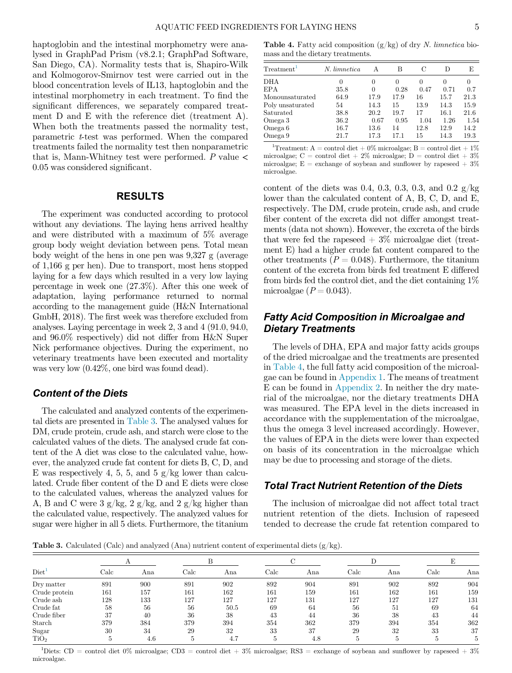<span id="page-4-1"></span>haptoglobin and the intestinal morphometry were analysed in GraphPad Prism (v8.2.1; GraphPad Software, San Diego, CA). Normality tests that is, Shapiro-Wilk and Kolmogorov-Smirnov test were carried out in the blood concentration levels of IL13, haptoglobin and the intestinal morphometry in each treatment. To find the significant differences, we separately compared treatment D and E with the reference diet (treatment A). When both the treatments passed the normality test, parametric t-test was performed. When the compared treatments failed the normality test then nonparametric that is, Mann-Whitney test were performed.  $P$  value  $\lt$ 0.05 was considered significant.

#### RESULTS

<span id="page-4-3"></span>The experiment was conducted according to protocol without any deviations. The laying hens arrived healthy and were distributed with a maximum of 5% average group body weight deviation between pens. Total mean body weight of the hens in one pen was 9,327 g (average of 1,166 g per hen). Due to transport, most hens stopped laying for a few days which resulted in a very low laying percentage in week one (27.3%). After this one week of adaptation, laying performance returned to normal according to the management guide (H&N International GmbH, 2018). The first week was therefore excluded from analyses. Laying percentage in week 2, 3 and 4 (91.0, 94.0, and 96.0% respectively) did not differ from H&N Super Nick performance objectives. During the experiment, no veterinary treatments have been executed and mortality was very low (0.42%, one bird was found dead).

## Content of the Diets

The calculated and analyzed contents of the experimental diets are presented in [Table 3.](#page-4-0) The analysed values for DM, crude protein, crude ash, and starch were close to the calculated values of the diets. The analysed crude fat content of the A diet was close to the calculated value, however, the analyzed crude fat content for diets B, C, D, and E was respectively 4, 5, 5, and 5  $g/kg$  lower than calculated. Crude fiber content of the D and E diets were close to the calculated values, whereas the analyzed values for A, B and C were  $3 \frac{\text{g}}{\text{kg}}$ ,  $2 \frac{\text{g}}{\text{kg}}$ , and  $2 \frac{\text{g}}{\text{kg}}$  higher than the calculated value, respectively. The analyzed values for sugar were higher in all 5 diets. Furthermore, the titanium

**Table 4.** Fatty acid composition  $(g/kg)$  of dry N. limnetica biomass and the dietary treatments.

| Treatment <sup>1</sup> | N. limnetica | А    | в    | С    | D    | E    |
|------------------------|--------------|------|------|------|------|------|
| <b>DHA</b>             | $\theta$     | 0    | 0    | 0    | 0    | 0    |
| <b>EPA</b>             | 35.8         | 0    | 0.28 | 0.47 | 0.71 | 0.7  |
| Monounsaturated        | 64.9         | 17.9 | 17.9 | 16   | 15.7 | 21.3 |
| Poly unsaturated       | 54           | 14.3 | 15   | 13.9 | 14.3 | 15.9 |
| Saturated              | 38.8         | 20.2 | 19.7 | 17   | 16.1 | 21.6 |
| Omega 3                | 36.2         | 0.67 | 0.95 | 1.04 | 1.26 | 1.54 |
| Omega 6                | 16.7         | 13.6 | 14   | 12.8 | 12.9 | 14.2 |
| Omega 9                | 21.7         | 17.3 | 17.1 | 15   | 14.3 | 19.3 |
|                        |              |      |      |      |      |      |

<sup>1</sup>Treatment: A = control diet + 0% microalgae; B = control diet + 1% microalgae; C = control diet + 2\% microalgae; D = control diet +  $3\%$ microalgae;  $E =$  exchange of soybean and sunflower by rapeseed  $+3\%$ microalgae.

content of the diets was 0.4, 0.3, 0.3, 0.3, and 0.2  $g/kg$ lower than the calculated content of A, B, C, D, and E, respectively. The DM, crude protein, crude ash, and crude fiber content of the excreta did not differ amongst treatments (data not shown). However, the excreta of the birds that were fed the rapeseed  $+3\%$  microalgae diet (treatment E) had a higher crude fat content compared to the other treatments ( $P = 0.048$ ). Furthermore, the titanium content of the excreta from birds fed treatment E differed from birds fed the control diet, and the diet containing 1% microalgae  $(P = 0.043)$ .

## Fatty Acid Composition in Microalgae and Dietary Treatments

The levels of DHA, EPA and major fatty acids groups of the dried microalgae and the treatments are presented in [Table 4,](#page-4-1) the full fatty acid composition of the microalgae can be found in [Appendix 1.](#page-13-0) The means of treatment E can be found in [Appendix 2](#page-13-1). In neither the dry material of the microalgae, nor the dietary treatments DHA was measured. The EPA level in the diets increased in accordance with the supplementation of the microalgae, thus the omega 3 level increased accordingly. However, the values of EPA in the diets were lower than expected on basis of its concentration in the microalgae which may be due to processing and storage of the diets.

### Total Tract Nutrient Retention of the Diets

The inclusion of microalgae did not affect total tract nutrient retention of the diets. Inclusion of rapeseed tended to decrease the crude fat retention compared to

<span id="page-4-0"></span>**Table 3.** Calculated (Calc) and analyzed (Ana) nutrient content of experimental diets  $(g/kg)$ .

| Diet <sup>1</sup> | $_{\rm Calc}$ | Ana | $_{\rm Calc}$ | Ana  | Calc | Ana | Calc | Ana | Calc | Ana |
|-------------------|---------------|-----|---------------|------|------|-----|------|-----|------|-----|
| Dry matter        | 891           | 900 | 891           | 902  | 892  | 904 | 891  | 902 | 892  | 904 |
| Crude protein     | 161           | 157 | 161           | 162  | 161  | 159 | 161  | 162 | 161  | 159 |
| Crude ash         | 128           | 133 | 127           | 127  | 127  | 131 | 127  | 127 | 127  | 131 |
| Crude fat         | 58            | 56  | 56            | 50.5 | 69   | 64  | 56   | 51  | 69   | 64  |
| Crude fiber       | 37            | 40  | 36            | 38   | 43   | 44  | 36   | 38  | 43   | 44  |
| Starch            | 379           | 384 | 379           | 394  | 354  | 362 | 379  | 394 | 354  | 362 |
| Sugar             | 30            | 34  | 29            | 32   | 33   | 37  | 29   | 32  | 33   | 37  |
| TiO <sub>2</sub>  |               | 4.6 |               | 4.7  |      | 4.8 |      |     |      |     |

<span id="page-4-2"></span><sup>1</sup>Diets: CD = control diet 0% microalgae; CD3 = control diet + 3% microalgae; RS3 = exchange of soybean and sunflower by rapeseed + 3% microalgae.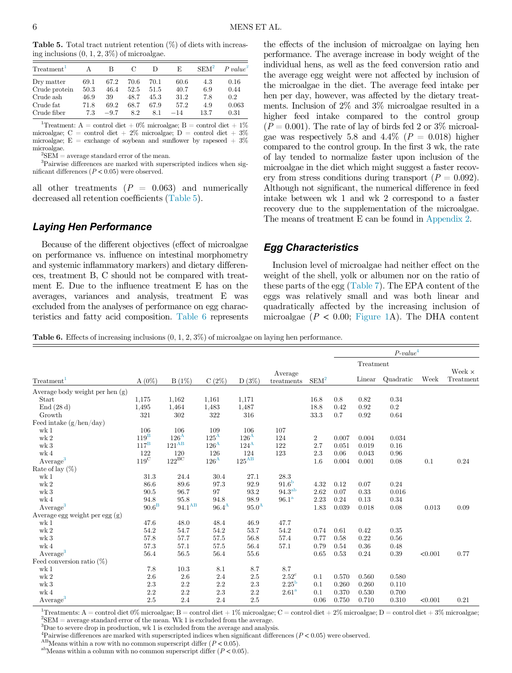<span id="page-5-0"></span>**Table 5.** Total tract nutrient retention  $(\%)$  of diets with increasing inclusions  $(0, 1, 2, 3\%)$  of microalgae.

| Treatment <sup>1</sup>                                               |                                     | В                                    | C                                  | Ð                                   | E                                     | SEM <sup>2</sup>                 | $P value^3$                          |
|----------------------------------------------------------------------|-------------------------------------|--------------------------------------|------------------------------------|-------------------------------------|---------------------------------------|----------------------------------|--------------------------------------|
| Dry matter<br>Crude protein<br>Crude ash<br>Crude fat<br>Crude fiber | 69.1<br>50.3<br>46.9<br>71.8<br>7.3 | 67.2<br>46.4<br>39<br>69.2<br>$-9.7$ | 70.6<br>52.5<br>48.7<br>68.7<br>82 | 70.1<br>51.5<br>45.3<br>67.9<br>8.1 | 60.6<br>40.7<br>31.2<br>57.2<br>$-14$ | 4.3<br>6.9<br>7.8<br>4.9<br>13.7 | 0.16<br>0.44<br>0.2<br>0.063<br>0.31 |

<span id="page-5-2"></span><sup>1</sup>Treatment: A = control diet + 0% microalgae; B = control diet + 1% microalgae; C = control diet + 2% microalgae;  $D =$  control diet + 3% microalgae;  $E =$  exchange of soybean and sunflower by rapeseed  $+3\%$ microalgae. <sup>2</sup>

 ${}^{2}\text{SEM} = \text{average standard error of the mean}.$ 

<span id="page-5-4"></span><span id="page-5-3"></span>3 Pairwise differences are marked with superscripted indices when significant differences  $(P < 0.05)$  were observed.

all other treatments  $(P = 0.063)$  and numerically decreased all retention coefficients ([Table 5\)](#page-5-0).

#### Laying Hen Performance

Because of the different objectives (effect of microalgae on performance vs. influence on intestinal morphometry and systemic inflammatory markers) and dietary differences, treatment B, C should not be compared with treatment E. Due to the influence treatment E has on the averages, variances and analysis, treatment E was excluded from the analyses of performance on egg characteristics and fatty acid composition. [Table 6](#page-5-1) represents the effects of the inclusion of microalgae on laying hen performance. The average increase in body weight of the individual hens, as well as the feed conversion ratio and the average egg weight were not affected by inclusion of the microalgae in the diet. The average feed intake per hen per day, however, was affected by the dietary treatments. Inclusion of 2% and 3% microalgae resulted in a higher feed intake compared to the control group  $(P = 0.001)$ . The rate of lay of birds fed 2 or 3\% microalgae was respectively 5.8 and 4.4% ( $P = 0.018$ ) higher compared to the control group. In the first 3 wk, the rate of lay tended to normalize faster upon inclusion of the microalgae in the diet which might suggest a faster recovery from stress conditions during transport  $(P = 0.092)$ . Although not significant, the numerical difference in feed intake between wk 1 and wk 2 correspond to a faster recovery due to the supplementation of the microalgae. The means of treatment E can be found in [Appendix 2.](#page-13-1)

## Egg Characteristics

Inclusion level of microalgae had neither effect on the weight of the shell, yolk or albumen nor on the ratio of these parts of the egg ([Table 7](#page-6-0)). The EPA content of the eggs was relatively small and was both linear and quadratically affected by the increasing inclusion of microalgae ( $P < 0.00$ ; [Figure 1](#page-6-1)A). The DHA content

<span id="page-5-1"></span>Table 6. Effects of increasing inclusions (0, 1, 2, 3%) of microalgae on laying hen performance.

|                                 |                    |                      |                |                |                       |                  | $P-value4$ |           |           |         |                            |
|---------------------------------|--------------------|----------------------|----------------|----------------|-----------------------|------------------|------------|-----------|-----------|---------|----------------------------|
|                                 |                    |                      |                |                |                       |                  |            | Treatment |           |         |                            |
| Treatment <sup>1</sup>          | $A(0\%)$           | $B(1\%)$             | C(2%)          | $D(3\%)$       | Average<br>treatments | SEM <sup>2</sup> |            | Linear    | Quadratic | Week    | Week $\times$<br>Treatment |
| Average body weight per hen (g) |                    |                      |                |                |                       |                  |            |           |           |         |                            |
| Start                           | 1,175              | 1,162                | 1,161          | 1,171          |                       | 16.8             | 0.8        | 0.82      | 0.34      |         |                            |
| End(28d)                        | 1,495              | 1,464                | 1,483          | 1,487          |                       | 18.8             | 0.42       | 0.92      | $0.2\,$   |         |                            |
| Growth                          | 321                | 302                  | 322            | 316            |                       | 33.3             | 0.7        | 0.92      | 0.64      |         |                            |
| Feed intake $(g/hen/day)$       |                    |                      |                |                |                       |                  |            |           |           |         |                            |
| wk <sub>1</sub>                 | 106                | 106                  | 109            | 106            | 107                   |                  |            |           |           |         |                            |
| wk <sub>2</sub>                 | $119$ <sup>B</sup> | $126^{\rm A}$        | $125^{\rm A}$  | $126^{\rm A}$  | 124                   | $\boldsymbol{2}$ | 0.007      | 0.004     | 0.034     |         |                            |
| $\le k$ 3                       | $117^{\rm B}$      | $121^{AB}$           | $126^{\rm A}$  | $124^{\rm A}$  | 122                   | 2.7              | 0.051      | 0.019     | 0.16      |         |                            |
| wk <sub>4</sub>                 | 122                | 120                  | 126            | 124            | 123                   | 2.3              | 0.06       | 0.043     | 0.96      |         |                            |
| Average <sup>3</sup>            | $119^{\rm C}$      | $122^{\rm BC}$       | $126^{\rm A}$  | $125^{\rm AB}$ |                       | 1.6              | 0.004      | 0.001     | 0.08      | 0.1     | 0.24                       |
| Rate of lay $(\%)$              |                    |                      |                |                |                       |                  |            |           |           |         |                            |
| wk <sub>1</sub>                 | 31.3               | 24.4                 | 30.4           | 27.1           | 28.3                  |                  |            |           |           |         |                            |
| wk <sub>2</sub>                 | 86.6               | 89.6                 | 97.3           | 92.9           | 91.6 <sup>b</sup>     | 4.32             | 0.12       | 0.07      | 0.24      |         |                            |
| wk <sub>3</sub>                 | 90.5               | 96.7                 | 97             | 93.2           | 94.3 <sup>ab</sup>    | 2.62             | 0.07       | 0.33      | 0.016     |         |                            |
| wk <sub>4</sub>                 | 94.8               | 95.8                 | 94.8           | 98.9           | 96.1 <sup>a</sup>     | 2.23             | 0.24       | 0.13      | 0.34      |         |                            |
| Average <sup>3</sup>            | $90.6^{\text{B}}$  | $94.1^{\mathrm{AB}}$ | $96.4^{\rm A}$ | $95.0^{\rm A}$ |                       | 1.83             | 0.039      | 0.018     | 0.08      | 0.013   | 0.09                       |
| Average egg weight per egg (g)  |                    |                      |                |                |                       |                  |            |           |           |         |                            |
| wk <sub>1</sub>                 | 47.6               | 48.0                 | 48.4           | 46.9           | 47.7                  |                  |            |           |           |         |                            |
| wk <sub>2</sub>                 | 54.2               | 54.7                 | 54.2           | 53.7           | 54.2                  | 0.74             | 0.61       | 0.42      | 0.35      |         |                            |
| wk <sub>3</sub>                 | 57.8               | 57.7                 | 57.5           | 56.8           | 57.4                  | 0.77             | 0.58       | 0.22      | 0.56      |         |                            |
| wk <sub>4</sub>                 | 57.3               | 57.1                 | 57.5           | 56.4           | 57.1                  | 0.79             | 0.54       | 0.36      | 0.48      |         |                            |
| Average <sup>3</sup>            | 56.4               | 56.5                 | 56.4           | 55.6           |                       | 0.65             | 0.53       | 0.24      | 0.39      | < 0.001 | 0.77                       |
| Feed conversion ratio $(\%)$    |                    |                      |                |                |                       |                  |            |           |           |         |                            |
| wk <sub>1</sub>                 | 7.8                | 10.3                 | 8.1            | 8.7            | 8.7                   |                  |            |           |           |         |                            |
| wk <sub>2</sub>                 | 2.6                | 2.6                  | 2.4            | 2.5            | $2.52^{\circ}$        | 0.1              | 0.570      | 0.560     | 0.580     |         |                            |
| $\le k$ 3                       | 2.3                | 2.2                  | 2.2            | 2.3            | 2.25 <sup>b</sup>     | 0.1              | 0.260      | 0.260     | 0.110     |         |                            |
| wk <sub>4</sub>                 | 2.2                | 2.2                  | 2.3            | 2.2            | 2.61 <sup>a</sup>     | 0.1              | 0.370      | 0.530     | 0.700     |         |                            |
| Average <sup>3</sup>            | 2.5                | 2.4                  | 2.4            | 2.5            |                       | 0.06             | 0.750      | 0.710     | 0.310     | < 0.001 | 0.21                       |

<span id="page-5-8"></span><span id="page-5-5"></span><sup>1</sup>Treatments: A = control diet 0% microalgae; B = control diet + 1% microalgae; C = control diet + 2% microalgae; D = control diet + 3% microalgae;  ${}^{2}$ SEM = average standard error of the mean. Wk 1 is excluded from the average.

<span id="page-5-6"></span><sup>3</sup>Due to severe drop in production, wk 1 is excluded from the average and analysis.

<span id="page-5-9"></span><span id="page-5-7"></span><sup>4</sup>Pairwise differences are marked with superscripted indices when significant differences ( $P < 0.05$ ) were observed.<br><sup>AB</sup>Means within a row with no common superscript differ ( $P < 0.05$ ).<br><sup>ab</sup>Means within a column with no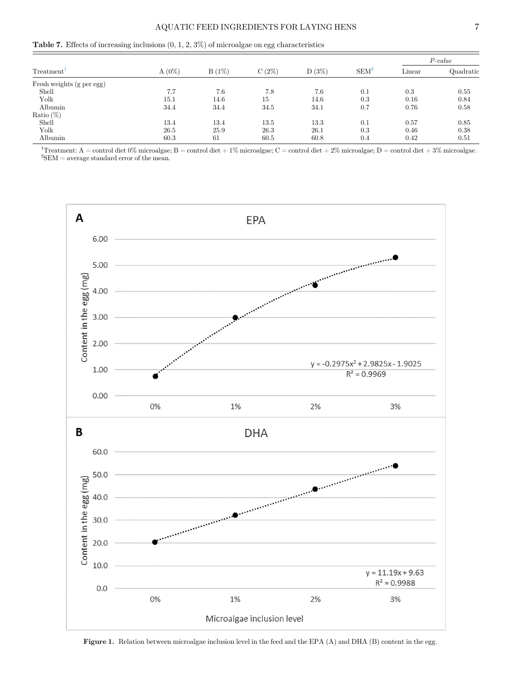<span id="page-6-0"></span>

|  |  |  |  |  |  |  |  | <b>Table 7.</b> Effects of increasing inclusions $(0, 1, 2, 3\%)$ of microalgae on egg characteristics |
|--|--|--|--|--|--|--|--|--------------------------------------------------------------------------------------------------------|
|--|--|--|--|--|--|--|--|--------------------------------------------------------------------------------------------------------|

|                           |          |       | C(2%) | $D(3\%)$ | SEM <sup>2</sup> | $P-value$ |           |
|---------------------------|----------|-------|-------|----------|------------------|-----------|-----------|
| Treatment <sup>T</sup>    | $A(0\%)$ | B(1%) |       |          |                  | Linear    | Quadratic |
| Fresh weights (g per egg) |          |       |       |          |                  |           |           |
| Shell                     | 7.7      | 7.6   | 7.8   | 7.6      | 0.1              | 0.3       | 0.55      |
| Yolk                      | 15.1     | 14.6  | 15    | 14.6     | 0.3              | 0.16      | 0.84      |
| Albumin                   | 34.4     | 34.4  | 34.5  | 34.1     | 0.7              | 0.76      | 0.58      |
| Ratio $(\%)$              |          |       |       |          |                  |           |           |
| Shell                     | 13.4     | 13.4  | 13.5  | 13.3     | 0.1              | 0.57      | 0.85      |
| Yolk                      | 26.5     | 25.9  | 26.3  | 26.1     | 0.3              | 0.46      | 0.38      |
| Albumin                   | 60.3     | 61    | 60.5  | 60.8     | 0.4              | 0.42      | 0.51      |

<span id="page-6-2"></span><span id="page-6-1"></span><sup>1</sup>Treatment: A = control diet 0% microalgae; B = control diet + 1% microalgae; C = control diet + 2% microalgae; D = control diet + 3% microalgae.  ${}^{2}$ SEM = average standard error of the mean.



Figure 1. Relation between microalgae inclusion level in the feed and the EPA (A) and DHA (B) content in the egg.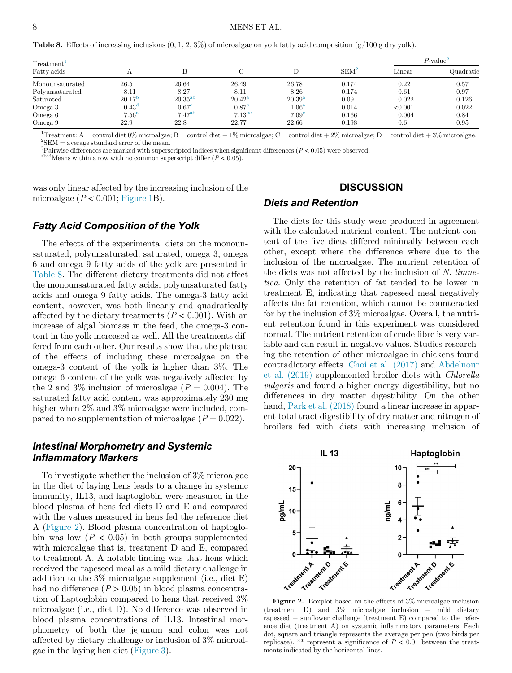<span id="page-7-0"></span>**Table 8.** Effects of increasing inclusions  $(0, 1, 2, 3\%)$  of microalgae on yolk fatty acid composition  $(g/100 \text{ g dry yolk})$ .

| Treatment <sup>1</sup> |                   |                    |                 |                   |         |                          | $P\text{-value}^\circ$ |
|------------------------|-------------------|--------------------|-----------------|-------------------|---------|--------------------------|------------------------|
| Fatty acids            |                   |                    |                 | D                 | $SEM^2$ | $\mathop{\text{Linear}}$ | Quadratic              |
| Monounsaturated        | 26.5              | 26.64              | 26.49           | 26.78             | 0.174   | 0.22                     | 0.57                   |
| Polyunsaturated        | 8.11              | 8.27               | 8.11            | 8.26              | 0.174   | 0.61                     | 0.97                   |
| Saturated              | $20.17^{h}$       | $20.35^{ab}$       | $20.42^{\rm a}$ | $20.39^{a}$       | 0.09    | 0.022                    | 0.126                  |
| Omega 3                | $0.43^{\circ}$    | 0.67 <sup>c</sup>  | 0.87            | 1.06 <sup>a</sup> | 0.014   | < 0.001                  | 0.022                  |
| Omega 6                | 7.56 <sup>a</sup> | 7.47 <sup>ab</sup> | $7.13^{bc}$     | 7.09 <sup>c</sup> | 0.166   | 0.004                    | 0.84                   |
| Omega 9                | 22.9              | 22.8               | 22.77           | 22.66             | 0.198   | 0.6                      | 0.95                   |

<span id="page-7-3"></span><span id="page-7-2"></span><sup>1</sup>Treatment: A = control diet 0% microalgae; B = control diet + 1% microalgae; C = control diet + 2% microalgae; D = control diet + 3% microalgae.  ${}^{2}$ SEM = average standard error of the mean.

<span id="page-7-4"></span><sup>3</sup>Pairwise differences are marked with superscripted indices when significant differences ( $P < 0.05$ ) were observed.<br><sup>abcd</sup>Means within a row with no common superscript differ ( $P < 0.05$ ).

was only linear affected by the increasing inclusion of the microalgae ( $P < 0.001$ ; [Figure 1](#page-6-1)B).

#### **DISCUSSION**

# Diets and Retention

#### Fatty Acid Composition of the Yolk

The effects of the experimental diets on the monounsaturated, polyunsaturated, saturated, omega 3, omega 6 and omega 9 fatty acids of the yolk are presented in [Table 8](#page-7-0). The different dietary treatments did not affect the monounsaturated fatty acids, polyunsaturated fatty acids and omega 9 fatty acids. The omega-3 fatty acid content, however, was both linearly and quadratically affected by the dietary treatments ( $P < 0.001$ ). With an increase of algal biomass in the feed, the omega-3 content in the yolk increased as well. All the treatments differed from each other. Our results show that the plateau of the effects of including these microalgae on the omega-3 content of the yolk is higher than 3%. The omega 6 content of the yolk was negatively affected by the 2 and 3% inclusion of microalgae  $(P = 0.004)$ . The saturated fatty acid content was approximately 230 mg higher when  $2\%$  and  $3\%$  microalgae were included, compared to no supplementation of microalgae  $(P = 0.022)$ .

# <span id="page-7-1"></span>Intestinal Morphometry and Systemic Inflammatory Markers

To investigate whether the inclusion of 3% microalgae in the diet of laying hens leads to a change in systemic immunity, IL13, and haptoglobin were measured in the blood plasma of hens fed diets D and E and compared with the values measured in hens fed the reference diet A ([Figure 2\)](#page-7-1). Blood plasma concentration of haptoglobin was low  $(P < 0.05)$  in both groups supplemented with microalgae that is, treatment D and E, compared to treatment A. A notable finding was that hens which received the rapeseed meal as a mild dietary challenge in addition to the 3% microalgae supplement (i.e., diet E) had no difference  $(P > 0.05)$  in blood plasma concentration of haptoglobin compared to hens that received 3% microalgae (i.e., diet D). No difference was observed in blood plasma concentrations of IL13. Intestinal morphometry of both the jejunum and colon was not affected by dietary challenge or inclusion of 3% microalgae in the laying hen diet ([Figure 3\)](#page-8-0).

The diets for this study were produced in agreement with the calculated nutrient content. The nutrient content of the five diets differed minimally between each other, except where the difference where due to the inclusion of the microalgae. The nutrient retention of the diets was not affected by the inclusion of N. limnetica. Only the retention of fat tended to be lower in treatment E, indicating that rapeseed meal negatively affects the fat retention, which cannot be counteracted for by the inclusion of 3% microalgae. Overall, the nutrient retention found in this experiment was considered normal. The nutrient retention of crude fibre is very variable and can result in negative values. Studies researching the retention of other microalgae in chickens found contradictory effects. [Choi et al. \(2017\)](#page-11-20) and [Abdelnour](#page-10-0) [et al. \(2019\)](#page-10-0) supplemented broiler diets with Chlorella vulgaris and found a higher energy digestibility, but no differences in dry matter digestibility. On the other hand, Park et al.  $(2018)$  found a linear increase in apparent total tract digestibility of dry matter and nitrogen of broilers fed with diets with increasing inclusion of



Figure 2. Boxplot based on the effects of 3% microalgae inclusion (treatment D) and  $3\%$  microalgae inclusion + mild dietary rapeseed + sunflower challenge (treatment E) compared to the reference diet (treatment A) on systemic inflammatory parameters. Each dot, square and triangle represents the average per pen (two birds per replicate). \*\* represent a significance of  $P < 0.01$  between the treatments indicated by the horizontal lines.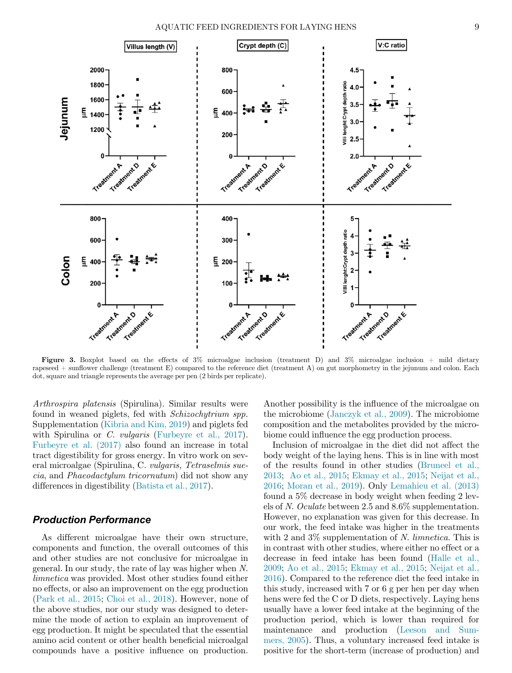<span id="page-8-0"></span>

Figure 3. Boxplot based on the effects of 3% microalgae inclusion (treatment D) and 3% microalgae inclusion + mild dietary rapeseed  $+$  sunflower challenge (treatment E) compared to the reference diet (treatment A) on gut morphometry in the jejunum and colon. Each dot, square and triangle represents the average per pen (2 birds per replicate).

Arthrospira platensis (Spirulina). Similar results were found in weaned piglets, fed with Schizochytrium spp. Supplementation [\(Kibria and Kim, 2019\)](#page-11-22) and piglets fed with Spirulina or C. *vulgaris* ([Furbeyre et al., 2017](#page-11-5)). [Furbeyre et al. \(2017\)](#page-11-5) also found an increase in total tract digestibility for gross energy. In vitro work on several microalgae (Spirulina, C. vulgaris, Tetraselmis suecia, and Phaeodactylum tricornutum) did not show any differences in digestibility [\(Batista et al., 2017\)](#page-11-23).

## Production Performance

As different microalgae have their own structure, components and function, the overall outcomes of this and other studies are not conclusive for microalgae in general. In our study, the rate of lay was higher when N. limnetica was provided. Most other studies found either no effects, or also an improvement on the egg production ([Park et al., 2015;](#page-11-24) [Choi et al., 2018\)](#page-11-25). However, none of the above studies, nor our study was designed to determine the mode of action to explain an improvement of egg production. It might be speculated that the essential amino acid content or other health beneficial microalgal compounds have a positive influence on production.

Another possibility is the influence of the microalgae on the microbiome [\(Janczyk et al., 2009](#page-11-26)). The microbiome composition and the metabolites provided by the microbiome could influence the egg production process.

Inclusion of microalgae in the diet did not affect the body weight of the laying hens. This is in line with most of the results found in other studies ([Bruneel et al.,](#page-11-27) [2013;](#page-11-27) [Ao et al., 2015;](#page-10-1) [Ekmay et al., 2015;](#page-11-28) [Neijat et al.,](#page-11-10) [2016;](#page-11-10) [Moran et al., 2019](#page-11-29)). Only [Lemahieu et al. \(2013\)](#page-11-12) found a 5% decrease in body weight when feeding 2 levels of N. Oculate between 2.5 and 8.6% supplementation. However, no explanation was given for this decrease. In our work, the feed intake was higher in the treatments with 2 and 3\% supplementation of N. *limnetica*. This is in contrast with other studies, where either no effect or a decrease in feed intake has been found ([Halle et al.,](#page-11-30) [2009;](#page-11-30) [Ao et al., 2015;](#page-10-1) [Ekmay et al., 2015](#page-11-28); [Neijat et al.,](#page-11-10) [2016\)](#page-11-10). Compared to the reference diet the feed intake in this study, increased with 7 or 6 g per hen per day when hens were fed the C or D diets, respectively. Laying hens usually have a lower feed intake at the beginning of the production period, which is lower than required for maintenance and production ([Leeson and Sum](#page-11-31)[mers, 2005\)](#page-11-31). Thus, a voluntary increased feed intake is positive for the short-term (increase of production) and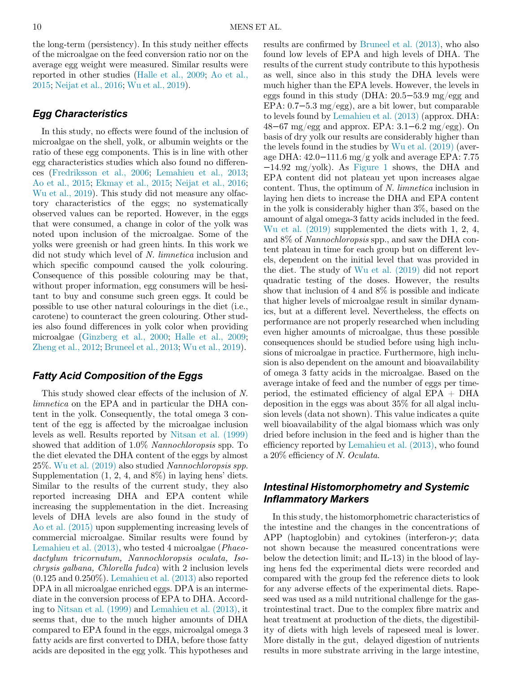the long-term (persistency). In this study neither effects of the microalgae on the feed conversion ratio nor on the average egg weight were measured. Similar results were reported in other studies ([Halle et al., 2009](#page-11-30); [Ao et al.,](#page-10-1) [2015;](#page-10-1) [Neijat et al., 2016;](#page-11-10) [Wu et al., 2019](#page-12-2)).

## Egg Characteristics

In this study, no effects were found of the inclusion of microalgae on the shell, yolk, or albumin weights or the ratio of these egg components. This is in line with other egg characteristics studies which also found no differences ([Fredriksson et al., 2006](#page-11-8); [Lemahieu et al., 2013](#page-11-12); [Ao et al., 2015](#page-10-1); [Ekmay et al., 2015;](#page-11-28) [Neijat et al., 2016](#page-11-10); [Wu et al., 2019](#page-12-2)). This study did not measure any olfactory characteristics of the eggs; no systematically observed values can be reported. However, in the eggs that were consumed, a change in color of the yolk was noted upon inclusion of the microalgae. Some of the yolks were greenish or had green hints. In this work we did not study which level of N. limnetica inclusion and which specific compound caused the yolk colouring. Consequence of this possible colouring may be that, without proper information, egg consumers will be hesitant to buy and consume such green eggs. It could be possible to use other natural colourings in the diet (i.e., carotene) to counteract the green colouring. Other studies also found differences in yolk color when providing microalgae ([Ginzberg et al., 2000;](#page-11-7) [Halle et al., 2009](#page-11-30); [Zheng et al., 2012](#page-12-4); [Bruneel et al., 2013](#page-11-27); [Wu et al., 2019\)](#page-12-2).

# Fatty Acid Composition of the Eggs

This study showed clear effects of the inclusion of N. limnetica on the EPA and in particular the DHA content in the yolk. Consequently, the total omega 3 content of the egg is affected by the microalgae inclusion levels as well. Results reported by [Nitsan et al. \(1999\)](#page-11-32) showed that addition of 1.0% Nannochloropsis spp. To the diet elevated the DHA content of the eggs by almost 25%. [Wu et al. \(2019\)](#page-12-2) also studied Nannochloropsis spp. Supplementation  $(1, 2, 4, \text{ and } 8\%)$  in laying hens' diets. Similar to the results of the current study, they also reported increasing DHA and EPA content while increasing the supplementation in the diet. Increasing levels of DHA levels are also found in the study of [Ao et al. \(2015\)](#page-10-1) upon supplementing increasing levels of commercial microalgae. Similar results were found by [Lemahieu et al. \(2013\)](#page-11-12), who tested 4 microalgae (Phaeodactylum tricornutum, Nannochloropsis oculata, Isochrysis galbana, Chlorella fudca) with 2 inclusion levels  $(0.125 \text{ and } 0.250\%)$ . Lemahieu et al.  $(2013)$  also reported DPA in all microalgae enriched eggs. DPA is an intermediate in the conversion process of EPA to DHA. According to [Nitsan et al. \(1999\)](#page-11-32) and [Lemahieu et al. \(2013\)](#page-11-12), it seems that, due to the much higher amounts of DHA compared to EPA found in the eggs, microalgal omega 3 fatty acids are first converted to DHA, before those fatty acids are deposited in the egg yolk. This hypotheses and

results are confirmed by [Bruneel et al. \(2013\),](#page-11-27) who also found low levels of EPA and high levels of DHA. The results of the current study contribute to this hypothesis as well, since also in this study the DHA levels were much higher than the EPA levels. However, the levels in eggs found in this study (DHA: 20.5−53.9 mg/egg and EPA: 0.7−5.3 mg/egg), are a bit lower, but comparable to levels found by [Lemahieu et al. \(2013\)](#page-11-12) (approx. DHA: 48−67 mg/egg and approx. EPA: 3.1−6.2 mg/egg). On basis of dry yolk our results are considerably higher than the levels found in the studies by [Wu et al. \(2019\)](#page-12-2) (average DHA: 42.0−111.6 mg/g yolk and average EPA: 7.75 −14.92 mg/yolk). As [Figure 1](#page-6-1) shows, the DHA and EPA content did not plateau yet upon increases algae content. Thus, the optimum of N. limnetica inclusion in laying hen diets to increase the DHA and EPA content in the yolk is considerably higher than 3%, based on the amount of algal omega-3 fatty acids included in the feed. [Wu et al. \(2019\)](#page-12-2) supplemented the diets with 1, 2, 4, and 8% of Nannochloropsis spp., and saw the DHA content plateau in time for each group but on different levels, dependent on the initial level that was provided in the diet. The study of [Wu et al. \(2019\)](#page-12-2) did not report quadratic testing of the doses. However, the results show that inclusion of 4 and 8% is possible and indicate that higher levels of microalgae result in similar dynamics, but at a different level. Nevertheless, the effects on performance are not properly researched when including even higher amounts of microalgae, thus these possible consequences should be studied before using high inclusions of microalgae in practice. Furthermore, high inclusion is also dependent on the amount and bioavailability of omega 3 fatty acids in the microalgae. Based on the average intake of feed and the number of eggs per timeperiod, the estimated efficiency of algal  $EPA + DHA$ deposition in the eggs was about 35% for all algal inclusion levels (data not shown). This value indicates a quite well bioavailability of the algal biomass which was only dried before inclusion in the feed and is higher than the efficiency reported by [Lemahieu et al. \(2013\),](#page-11-12) who found a 20% efficiency of N. Oculata.

# Intestinal Histomorphometry and Systemic Inflammatory Markers

In this study, the histomorphometric characteristics of the intestine and the changes in the concentrations of APP (haptoglobin) and cytokines (interferon- $\gamma$ ; data not shown because the measured concentrations were below the detection limit; and IL-13) in the blood of laying hens fed the experimental diets were recorded and compared with the group fed the reference diets to look for any adverse effects of the experimental diets. Rapeseed was used as a mild nutritional challenge for the gastrointestinal tract. Due to the complex fibre matrix and heat treatment at production of the diets, the digestibility of diets with high levels of rapeseed meal is lower. More distally in the gut, delayed digestion of nutrients results in more substrate arriving in the large intestine,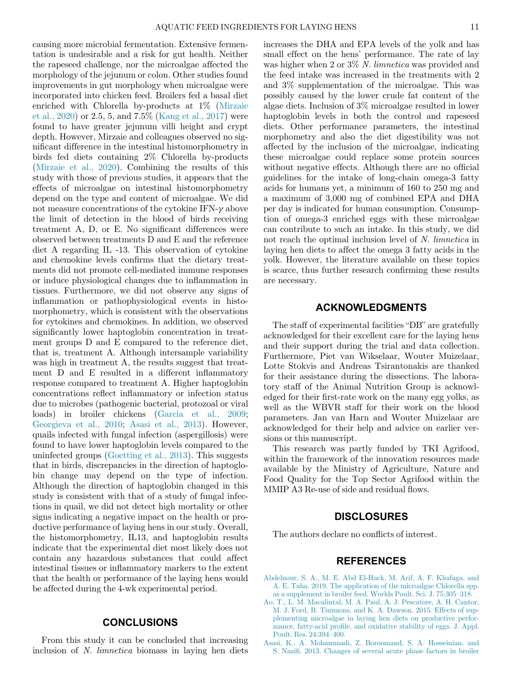causing more microbial fermentation. Extensive fermentation is undesirable and a risk for gut health. Neither the rapeseed challenge, nor the microalgae affected the morphology of the jejunum or colon. Other studies found improvements in gut morphology when microalgae were incorporated into chicken feed. Broilers fed a basal diet enriched with Chlorella by-products at 1% [\(Mirzaie](#page-11-33) [et al., 2020](#page-11-33)) or 2.5, 5, and 7.5% ([Kang et al., 2017](#page-11-34)) were found to have greater jejunum villi height and crypt depth. However, Mirzaie and colleagues observed no significant difference in the intestinal histomorphometry in birds fed diets containing 2% Chlorella by-products ([Mirzaie et al., 2020\)](#page-11-33). Combining the results of this study with those of previous studies, it appears that the effects of microalgae on intestinal histomorphometry depend on the type and content of microalgae. We did not measure concentrations of the cytokine IFN- $\gamma$  above the limit of detection in the blood of birds receiving treatment A, D, or E. No significant differences were observed between treatments D and E and the reference diet A regarding IL -13. This observation of cytokine and chemokine levels confirms that the dietary treatments did not promote cell-mediated immune responses or induce physiological changes due to inflammation in tissues. Furthermore, we did not observe any signs of inflammation or pathophysiological events in histomorphometry, which is consistent with the observations for cytokines and chemokines. In addition, we observed significantly lower haptoglobin concentration in treatment groups D and E compared to the reference diet, that is, treatment A. Although intersample variability was high in treatment A, the results suggest that treatment D and E resulted in a different inflammatory response compared to treatment A. Higher haptoglobin concentrations reflect inflammatory or infection status due to microbes (pathogenic bacterial, protozoal or viral loads) in broiler chickens ([Garcia et al., 2009](#page-11-35); [Georgieva et al., 2010;](#page-11-36) [Asasi et al., 2013\)](#page-10-2). However, quails infected with fungal infection (aspergillosis) were found to have lower haptoglobin levels compared to the uninfected groups [\(Goetting et al., 2013](#page-11-37)). This suggests that in birds, discrepancies in the direction of haptoglobin change may depend on the type of infection. Although the direction of haptoglobin changed in this study is consistent with that of a study of fungal infections in quail, we did not detect high mortality or other signs indicating a negative impact on the health or productive performance of laying hens in our study. Overall, the histomorphometry, IL13, and haptoglobin results indicate that the experimental diet most likely does not contain any hazardous substances that could affect intestinal tissues or inflammatory markers to the extent that the health or performance of the laying hens would be affected during the 4-wk experimental period.

## **CONCLUSIONS**

<span id="page-10-2"></span><span id="page-10-1"></span><span id="page-10-0"></span>From this study it can be concluded that increasing inclusion of N. limnetica biomass in laying hen diets increases the DHA and EPA levels of the yolk and has small effect on the hens' performance. The rate of lay was higher when 2 or 3% N. limnetica was provided and the feed intake was increased in the treatments with 2 and 3% supplementation of the microalgae. This was possibly caused by the lower crude fat content of the algae diets. Inclusion of 3% microalgae resulted in lower haptoglobin levels in both the control and rapeseed diets. Other performance parameters, the intestinal morphometry and also the diet digestibility was not affected by the inclusion of the microalgae, indicating these microalgae could replace some protein sources without negative effects. Although there are no official guidelines for the intake of long-chain omega-3 fatty acids for humans yet, a minimum of 160 to 250 mg and a maximum of 3,000 mg of combined EPA and DHA per day is indicated for human consumption. Consumption of omega-3 enriched eggs with these microalgae can contribute to such an intake. In this study, we did not reach the optimal inclusion level of N. *limnetica* in laying hen diets to affect the omega 3 fatty acids in the yolk. However, the literature available on these topics is scarce, thus further research confirming these results are necessary.

## ACKNOWLEDGMENTS

The staff of experimental facilities "DB" are gratefully acknowledged for their excellent care for the laying hens and their support during the trial and data collection. Furthermore, Piet van Wikselaar, Wouter Muizelaar, Lotte Stokvis and Andreas Tsirantonakis are thanked for their assistance during the dissections. The laboratory staff of the Animal Nutrition Group is acknowledged for their first-rate work on the many egg yolks, as well as the WBVR staff for their work on the blood parameters. Jan van Harn and Wouter Muizelaar are acknowledged for their help and advice on earlier versions or this manuscript.

This research was partly funded by TKI Agrifood, within the framework of the innovation resources made available by the Ministry of Agriculture, Nature and Food Quality for the Top Sector Agrifood within the MMIP A3 Re-use of side and residual flows.

## DISCLOSURES

The authors declare no conflicts of interest.

#### REFERENCES

- [Abdelnour, S. A., M. E. Abd El-Hack, M. Arif, A. F. Khafaga, and](http://refhub.elsevier.com/S0032-5791(22)00176-6/sbref0001) [A. E. Taha. 2019. The application of the microalgae Chlorella spp.](http://refhub.elsevier.com/S0032-5791(22)00176-6/sbref0001) [as a supplement in broiler feed. Worlds Poult. Sci. J. 75:305](http://refhub.elsevier.com/S0032-5791(22)00176-6/sbref0001)–318.
- [Ao, T., L. M. Macalintal, M. A. Paul, A. J. Pescatore, A. H. Cantor,](http://refhub.elsevier.com/S0032-5791(22)00176-6/sbref0002) [M. J. Ford, B. Timmons, and K. A. Dawson. 2015. Effects of sup](http://refhub.elsevier.com/S0032-5791(22)00176-6/sbref0002)[plementing microalgae in laying hen diets on productive perfor](http://refhub.elsevier.com/S0032-5791(22)00176-6/sbref0002)mance, fatty-acid profi[le, and oxidative stability of eggs. J. Appl.](http://refhub.elsevier.com/S0032-5791(22)00176-6/sbref0002) [Poult. Res. 24:394](http://refhub.elsevier.com/S0032-5791(22)00176-6/sbref0002)–400.
- [Asasi, K., A. Mohammadi, Z. Boroomand, S. A. Hosseinian, and](http://refhub.elsevier.com/S0032-5791(22)00176-6/sbref0003) S. Nazifi[. 2013. Changes of several acute phase factors in broiler](http://refhub.elsevier.com/S0032-5791(22)00176-6/sbref0003)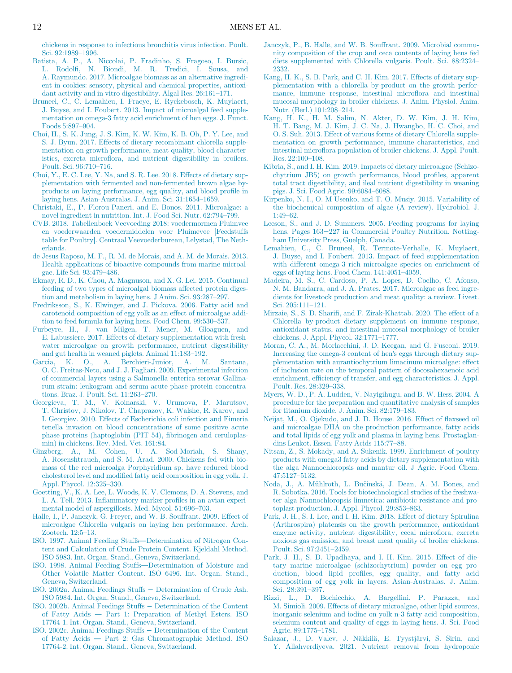<span id="page-11-26"></span>[chickens in response to infectious bronchitis virus infection. Poult.](http://refhub.elsevier.com/S0032-5791(22)00176-6/sbref0003) [Sci. 92:1989](http://refhub.elsevier.com/S0032-5791(22)00176-6/sbref0003)–1996.

- <span id="page-11-34"></span><span id="page-11-23"></span>[Batista, A. P., A. Niccolai, P. Fradinho, S. Fragoso, I. Bursic,](http://refhub.elsevier.com/S0032-5791(22)00176-6/sbref0004) L. Rodolfi[, N. Biondi, M. R. Tredici, I. Sousa, and](http://refhub.elsevier.com/S0032-5791(22)00176-6/sbref0004) [A. Raymundo. 2017. Microalgae biomass as an alternative ingredi](http://refhub.elsevier.com/S0032-5791(22)00176-6/sbref0004)[ent in cookies: sensory, physical and chemical properties, antioxi](http://refhub.elsevier.com/S0032-5791(22)00176-6/sbref0004)[dant activity and in vitro digestibility. Algal Res. 26:161](http://refhub.elsevier.com/S0032-5791(22)00176-6/sbref0004)–171.
- <span id="page-11-27"></span><span id="page-11-6"></span>[Bruneel, C., C. Lemahieu, I. Fraeye, E. Ryckebosch, K. Muylaert,](http://refhub.elsevier.com/S0032-5791(22)00176-6/sbref0005) [J. Buyse, and I. Foubert. 2013. Impact of microalgal feed supple](http://refhub.elsevier.com/S0032-5791(22)00176-6/sbref0005)[mentation on omega-3 fatty acid enrichment of hen eggs. J. Funct.](http://refhub.elsevier.com/S0032-5791(22)00176-6/sbref0005) [Foods 5:897](http://refhub.elsevier.com/S0032-5791(22)00176-6/sbref0005)–904.
- <span id="page-11-20"></span>[Choi, H., S. K. Jung, J. S. Kim, K. W. Kim, K. B. Oh, P. Y. Lee, and](http://refhub.elsevier.com/S0032-5791(22)00176-6/sbref0006) [S. J. Byun. 2017. Effects of dietary recombinant chlorella supple](http://refhub.elsevier.com/S0032-5791(22)00176-6/sbref0006)[mentation on growth performance, meat quality, blood character](http://refhub.elsevier.com/S0032-5791(22)00176-6/sbref0006)istics, excreta microfl[ora, and nutrient digestibility in broilers.](http://refhub.elsevier.com/S0032-5791(22)00176-6/sbref0006) [Poult. Sci. 96:710](http://refhub.elsevier.com/S0032-5791(22)00176-6/sbref0006)–716.
- <span id="page-11-25"></span><span id="page-11-22"></span>[Choi, Y., E. C. Lee, Y. Na, and S. R. Lee. 2018. Effects of dietary sup](http://refhub.elsevier.com/S0032-5791(22)00176-6/sbref0007)[plementation with fermented and non-fermented brown algae by](http://refhub.elsevier.com/S0032-5791(22)00176-6/sbref0007)[products on laying performance, egg quality, and blood pro](http://refhub.elsevier.com/S0032-5791(22)00176-6/sbref0007)file in [laying hens. Asian-Australas. J. Anim. Sci. 31:1654](http://refhub.elsevier.com/S0032-5791(22)00176-6/sbref0007)–1659.
- <span id="page-11-11"></span><span id="page-11-2"></span>[Christaki, E., P. Florou-Paneri, and E. Bonos. 2011. Microalgae: a](http://refhub.elsevier.com/S0032-5791(22)00176-6/sbref0008) [novel ingredient in nutrition. Int. J. Food Sci. Nutr. 62:794](http://refhub.elsevier.com/S0032-5791(22)00176-6/sbref0008)–799.
- <span id="page-11-31"></span><span id="page-11-13"></span>[CVB. 2018. Tabellenboek Veevoeding 2018: voedermormen Pluimvee](http://refhub.elsevier.com/S0032-5791(22)00176-6/sbref0046) [en voederwaarden voedermiddelen voor Pluimevee \[Feedstuffs](http://refhub.elsevier.com/S0032-5791(22)00176-6/sbref0046) [table for Poultry\]. Centraal Veevoederbureau, Lelystad, The Neth](http://refhub.elsevier.com/S0032-5791(22)00176-6/sbref0046)[erlands.](http://refhub.elsevier.com/S0032-5791(22)00176-6/sbref0046)
- <span id="page-11-12"></span><span id="page-11-3"></span>[de Jesus Raposo, M. F., R. M. de Morais, and A. M. de Morais. 2013.](http://refhub.elsevier.com/S0032-5791(22)00176-6/sbref0009) [Health applications of bioactive compounds from marine microal](http://refhub.elsevier.com/S0032-5791(22)00176-6/sbref0009)[gae. Life Sci. 93:479](http://refhub.elsevier.com/S0032-5791(22)00176-6/sbref0009)–486.
- <span id="page-11-28"></span><span id="page-11-0"></span>[Ekmay, R. D., K. Chou, A. Magnuson, and X. G. Lei. 2015. Continual](http://refhub.elsevier.com/S0032-5791(22)00176-6/sbref0010) [feeding of two types of microalgal biomass affected protein diges](http://refhub.elsevier.com/S0032-5791(22)00176-6/sbref0010)[tion and metabolism in laying hens. J Anim. Sci. 93:287](http://refhub.elsevier.com/S0032-5791(22)00176-6/sbref0010)–297.
- <span id="page-11-33"></span><span id="page-11-8"></span>[Fredriksson, S., K. Elwinger, and J. Pickova. 2006. Fatty acid and](http://refhub.elsevier.com/S0032-5791(22)00176-6/sbref0011) [carotenoid composition of egg yolk as an effect of microalgae addi](http://refhub.elsevier.com/S0032-5791(22)00176-6/sbref0011)[tion to feed formula for laying hens. Food Chem. 99:530](http://refhub.elsevier.com/S0032-5791(22)00176-6/sbref0011)–537.
- <span id="page-11-29"></span><span id="page-11-5"></span>[Furbeyre, H., J. van Milgen, T. Mener, M. Gloaguen, and](http://refhub.elsevier.com/S0032-5791(22)00176-6/sbref0012) [E. Labussiere. 2017. Effects of dietary supplementation with fresh](http://refhub.elsevier.com/S0032-5791(22)00176-6/sbref0012)[water microalgae on growth performance, nutrient digestibility](http://refhub.elsevier.com/S0032-5791(22)00176-6/sbref0012) [and gut health in weaned piglets. Animal 11:183](http://refhub.elsevier.com/S0032-5791(22)00176-6/sbref0012)–192.
- <span id="page-11-35"></span>[Garcia, K. O., A. Berchieri-Junior, A. M. Santana,](http://refhub.elsevier.com/S0032-5791(22)00176-6/sbref0013) [O. C. Freitas-Neto, and J. J. Fagliari. 2009. Experimental infection](http://refhub.elsevier.com/S0032-5791(22)00176-6/sbref0013) [of commercial layers using a Salmonella enterica serovar Gallina](http://refhub.elsevier.com/S0032-5791(22)00176-6/sbref0013)[rum strain: leukogram and serum acute-phase protein concentra](http://refhub.elsevier.com/S0032-5791(22)00176-6/sbref0013)[tions. Braz. J. Poult. Sci. 11:263](http://refhub.elsevier.com/S0032-5791(22)00176-6/sbref0013)–270.
- <span id="page-11-36"></span><span id="page-11-19"></span><span id="page-11-10"></span>[Georgieva, T. M., V. Koinarski, V. Urumova, P. Marutsov,](http://refhub.elsevier.com/S0032-5791(22)00176-6/sbref0014) [T. Christov, J. Nikolov, T. Chaprazov, K. Walshe, R. Karov, and](http://refhub.elsevier.com/S0032-5791(22)00176-6/sbref0014) [I. Georgiev. 2010. Effects of Escherichia coli infection and Eimeria](http://refhub.elsevier.com/S0032-5791(22)00176-6/sbref0014) [tenella invasion on blood concentrations of some positive acute](http://refhub.elsevier.com/S0032-5791(22)00176-6/sbref0014) [phase proteins \(haptoglobin \(PIT 54\),](http://refhub.elsevier.com/S0032-5791(22)00176-6/sbref0014) fibrinogen and ceruloplas[min\) in chickens. Rev. Med. Vet. 161:84.](http://refhub.elsevier.com/S0032-5791(22)00176-6/sbref0014)
- <span id="page-11-32"></span><span id="page-11-7"></span>[Ginzberg, A., M. Cohen, U. A. Sod-Moriah, S. Shany,](http://refhub.elsevier.com/S0032-5791(22)00176-6/sbref0015) [A. Rosenshtrauch, and S. M. Arad. 2000. Chickens fed with bio](http://refhub.elsevier.com/S0032-5791(22)00176-6/sbref0015)[mass of the red microalga Porphyridium sp. have reduced blood](http://refhub.elsevier.com/S0032-5791(22)00176-6/sbref0015) cholesterol level and modifi[ed fatty acid composition in egg yolk. J.](http://refhub.elsevier.com/S0032-5791(22)00176-6/sbref0015) [Appl. Phycol. 12:325](http://refhub.elsevier.com/S0032-5791(22)00176-6/sbref0015)–330.
- <span id="page-11-37"></span><span id="page-11-4"></span>[Goetting, V., K. A. Lee, L. Woods, K. V. Clemons, D. A. Stevens, and](http://refhub.elsevier.com/S0032-5791(22)00176-6/sbref0016) L. A. Tell. 2013. Infl[ammatory marker pro](http://refhub.elsevier.com/S0032-5791(22)00176-6/sbref0016)files in an avian experi[mental model of aspergillosis. Med. Mycol. 51:696](http://refhub.elsevier.com/S0032-5791(22)00176-6/sbref0016)–703.
- <span id="page-11-30"></span><span id="page-11-21"></span>[Halle, I., P. Janczyk, G. Freyer, and W. B. Souffrant. 2009. Effect of](http://refhub.elsevier.com/S0032-5791(22)00176-6/sbref0017) [microalgae Chlorella vulgaris on laying hen performance. Arch.](http://refhub.elsevier.com/S0032-5791(22)00176-6/sbref0017) [Zootech. 12:5](http://refhub.elsevier.com/S0032-5791(22)00176-6/sbref0017)–13.
- <span id="page-11-15"></span>[ISO. 1997. Animal Feeding Stuffs](http://refhub.elsevier.com/S0032-5791(22)00176-6/sbref0018)—Determination of Nitrogen Con[tent and Calculation of Crude Protein Content. Kjeldahl Method.](http://refhub.elsevier.com/S0032-5791(22)00176-6/sbref0018) [ISO 5983. Int. Organ. Stand., Geneva, Switzerland.](http://refhub.elsevier.com/S0032-5791(22)00176-6/sbref0018)
- <span id="page-11-24"></span><span id="page-11-14"></span>[ISO. 1998. Animal Feeding Stuffs](http://refhub.elsevier.com/S0032-5791(22)00176-6/sbref0019)—Determination of Moisture and [Other Volatile Matter Content. ISO 6496. Int. Organ. Stand.,](http://refhub.elsevier.com/S0032-5791(22)00176-6/sbref0019) [Geneva, Switzerland.](http://refhub.elsevier.com/S0032-5791(22)00176-6/sbref0019)
- <span id="page-11-16"></span><span id="page-11-9"></span>[ISO. 2002a. Animal Feedings Stuffs](http://refhub.elsevier.com/S0032-5791(22)00176-6/sbref0020) − Determination of Crude Ash. [ISO 5984. Int. Organ. Stand., Geneva, Switzerland.](http://refhub.elsevier.com/S0032-5791(22)00176-6/sbref0020)
- <span id="page-11-17"></span>[ISO. 2002b. Animal Feedings Stuffs](http://refhub.elsevier.com/S0032-5791(22)00176-6/sbref0021) − Determination of the Content of Fatty Acids — [Part 1: Preparation of Methyl Esters. ISO](http://refhub.elsevier.com/S0032-5791(22)00176-6/sbref0021) [17764-1. Int. Organ. Stand., Geneva, Switzerland.](http://refhub.elsevier.com/S0032-5791(22)00176-6/sbref0021)
- <span id="page-11-18"></span><span id="page-11-1"></span>[ISO. 2002c. Animal Feedings Stuffs](http://refhub.elsevier.com/S0032-5791(22)00176-6/sbref0022) − Determination of the Content of Fatty Acids — [Part 2: Gas Chromatographic Method. ISO](http://refhub.elsevier.com/S0032-5791(22)00176-6/sbref0022) [17764-2. Int. Organ. Stand., Geneva, Switzerland.](http://refhub.elsevier.com/S0032-5791(22)00176-6/sbref0022)
- [Janczyk, P., B. Halle, and W. B. Souffrant. 2009. Microbial commu](http://refhub.elsevier.com/S0032-5791(22)00176-6/sbref0023)[nity composition of the crop and ceca contents of laying hens fed](http://refhub.elsevier.com/S0032-5791(22)00176-6/sbref0023) [diets supplemented with Chlorella vulgaris. Poult. Sci. 88:2324](http://refhub.elsevier.com/S0032-5791(22)00176-6/sbref0023)– [2332.](http://refhub.elsevier.com/S0032-5791(22)00176-6/sbref0023)
- [Kang, H. K., S. B. Park, and C. H. Kim. 2017. Effects of dietary sup](http://refhub.elsevier.com/S0032-5791(22)00176-6/sbref0024)[plementation with a chlorella by-product on the growth perfor](http://refhub.elsevier.com/S0032-5791(22)00176-6/sbref0024)[mance, immune response, intestinal micro](http://refhub.elsevier.com/S0032-5791(22)00176-6/sbref0024)flora and intestinal [mucosal morphology in broiler chickens. J. Anim. Physiol. Anim.](http://refhub.elsevier.com/S0032-5791(22)00176-6/sbref0024) [Nutr. \(Berl.\) 101:208](http://refhub.elsevier.com/S0032-5791(22)00176-6/sbref0024)–214.
- [Kang, H. K., H. M. Salim, N. Akter, D. W. Kim, J. H. Kim,](http://refhub.elsevier.com/S0032-5791(22)00176-6/sbref0025) [H. T. Bang, M. J. Kim, J. C. Na, J. Hwangbo, H. C. Choi, and](http://refhub.elsevier.com/S0032-5791(22)00176-6/sbref0025) [O. S. Suh. 2013. Effect of various forms of dietary Chlorella supple](http://refhub.elsevier.com/S0032-5791(22)00176-6/sbref0025)[mentation on growth performance, immune characteristics, and](http://refhub.elsevier.com/S0032-5791(22)00176-6/sbref0025) intestinal microfl[ora population of broiler chickens. J. Appl. Poult.](http://refhub.elsevier.com/S0032-5791(22)00176-6/sbref0025) [Res. 22:100](http://refhub.elsevier.com/S0032-5791(22)00176-6/sbref0025)–108.
- [Kibria, S., and I. H. Kim. 2019. Impacts of dietary microalgae \(Schizo](http://refhub.elsevier.com/S0032-5791(22)00176-6/sbref0026)[chytrium JB5\) on growth performance, blood pro](http://refhub.elsevier.com/S0032-5791(22)00176-6/sbref0026)files, apparent [total tract digestibility, and ileal nutrient digestibility in weaning](http://refhub.elsevier.com/S0032-5791(22)00176-6/sbref0026) [pigs. J. Sci. Food Agric. 99:6084](http://refhub.elsevier.com/S0032-5791(22)00176-6/sbref0026)–6088.
- [Kirpenko, N. I., O. M Usenko, and T. O. Musiy. 2015. Variability of](http://refhub.elsevier.com/S0032-5791(22)00176-6/sbref0027) [the biochemical composition of algae \(A review\). Hydrobiol. J.](http://refhub.elsevier.com/S0032-5791(22)00176-6/sbref0027) [1:49](http://refhub.elsevier.com/S0032-5791(22)00176-6/sbref0027)–62.
- [Leeson, S., and J. D. Summers. 2005. Feeding programs for laying](http://refhub.elsevier.com/S0032-5791(22)00176-6/sbref0028) hens. Pages 163−[227 in Commercial Poultry Nutrition. Notting](http://refhub.elsevier.com/S0032-5791(22)00176-6/sbref0028)[ham University Press, Guelph, Canada.](http://refhub.elsevier.com/S0032-5791(22)00176-6/sbref0028)
- [Lemahieu, C., C. Bruneel, R. Termote-Verhalle, K. Muylaert,](http://refhub.elsevier.com/S0032-5791(22)00176-6/sbref0029) [J. Buyse, and I. Foubert. 2013. Impact of feed supplementation](http://refhub.elsevier.com/S0032-5791(22)00176-6/sbref0029) [with different omega-3 rich microalgae species on enrichment of](http://refhub.elsevier.com/S0032-5791(22)00176-6/sbref0029) [eggs of laying hens. Food Chem. 141:4051](http://refhub.elsevier.com/S0032-5791(22)00176-6/sbref0029)–4059.
- [Madeira, M. S., C. Cardoso, P. A. Lopes, D. Coelho, C. Afonso,](http://refhub.elsevier.com/S0032-5791(22)00176-6/sbref0030) [N. M. Bandarra, and J. A. Prates. 2017. Microalgae as feed ingre](http://refhub.elsevier.com/S0032-5791(22)00176-6/sbref0030)[dients for livestock production and meat quality: a review. Livest.](http://refhub.elsevier.com/S0032-5791(22)00176-6/sbref0030) [Sci. 205:111](http://refhub.elsevier.com/S0032-5791(22)00176-6/sbref0030)–121.
- Mirzaie, S., S. D. Sharifi[, and F. Zirak-Khattab. 2020. The effect of a](http://refhub.elsevier.com/S0032-5791(22)00176-6/sbref0031) [Chlorella by-product dietary supplement on immune response,](http://refhub.elsevier.com/S0032-5791(22)00176-6/sbref0031) [antioxidant status, and intestinal mucosal morphology of broiler](http://refhub.elsevier.com/S0032-5791(22)00176-6/sbref0031) [chickens. J. Appl. Phycol. 32:1771](http://refhub.elsevier.com/S0032-5791(22)00176-6/sbref0031)–1777.
- [Moran, C. A., M. Morlacchini, J. D. Keegan, and G. Fusconi. 2019.](http://refhub.elsevier.com/S0032-5791(22)00176-6/sbref0032) [Increasing the omega-3 content of hen](http://refhub.elsevier.com/S0032-5791(22)00176-6/sbref0032)'s eggs through dietary sup[plementation with aurantiochytrium limacinum microalgae: effect](http://refhub.elsevier.com/S0032-5791(22)00176-6/sbref0032) [of inclusion rate on the temporal pattern of docosahexaenoic acid](http://refhub.elsevier.com/S0032-5791(22)00176-6/sbref0032) enrichment, effi[ciency of transfer, and egg characteristics. J. Appl.](http://refhub.elsevier.com/S0032-5791(22)00176-6/sbref0032) [Poult. Res. 28:329](http://refhub.elsevier.com/S0032-5791(22)00176-6/sbref0032)–338.
- [Myers, W. D., P. A. Ludden, V. Nayigihugu, and B. W. Hess. 2004. A](http://refhub.elsevier.com/S0032-5791(22)00176-6/sbref0033) [procedure for the preparation and quantitative analysis of samples](http://refhub.elsevier.com/S0032-5791(22)00176-6/sbref0033) [for titanium dioxide. J. Anim. Sci. 82:179](http://refhub.elsevier.com/S0032-5791(22)00176-6/sbref0033)–183.
- [Neijat, M., O. Ojekudo, and J. D. House. 2016. Effect of](http://refhub.elsevier.com/S0032-5791(22)00176-6/sbref0034) flaxseed oil [and microalgae DHA on the production performance, fatty acids](http://refhub.elsevier.com/S0032-5791(22)00176-6/sbref0034) [and total lipids of egg yolk and plasma in laying hens. Prostaglan](http://refhub.elsevier.com/S0032-5791(22)00176-6/sbref0034)[dins Leukot. Essen. Fatty Acids 115:77](http://refhub.elsevier.com/S0032-5791(22)00176-6/sbref0034)–88.
- [Nitsan, Z., S. Mokady, and A. Sukenik. 1999. Enrichment of poultry](http://refhub.elsevier.com/S0032-5791(22)00176-6/sbref0035) [products with omega3 fatty acids by dietary supplementation with](http://refhub.elsevier.com/S0032-5791(22)00176-6/sbref0035) [the alga Nannochloropsis and mantur oil. J Agric. Food Chem.](http://refhub.elsevier.com/S0032-5791(22)00176-6/sbref0035) [47:5127](http://refhub.elsevier.com/S0032-5791(22)00176-6/sbref0035)–5132.
- Noda, J., A. Mühlroth, L. Buč[insk](http://refhub.elsevier.com/S0032-5791(22)00176-6/sbref0036)á[, J. Dean, A. M. Bones, and](http://refhub.elsevier.com/S0032-5791(22)00176-6/sbref0036) [R. Sobotka. 2016. Tools for biotechnological studies of the freshwa](http://refhub.elsevier.com/S0032-5791(22)00176-6/sbref0036)[ter alga Nannochloropsis limnetica: antibiotic resistance and pro](http://refhub.elsevier.com/S0032-5791(22)00176-6/sbref0036)[toplast production. J. Appl. Phycol. 29:853](http://refhub.elsevier.com/S0032-5791(22)00176-6/sbref0036)–863.
- [Park, J. H., S. I. Lee, and I. H. Kim. 2018. Effect of dietary Spirulina](http://refhub.elsevier.com/S0032-5791(22)00176-6/sbref0037) [\(Arthrospira\) platensis on the growth performance, antioxidant](http://refhub.elsevier.com/S0032-5791(22)00176-6/sbref0037) [enzyme activity, nutrient digestibility, cecal micro](http://refhub.elsevier.com/S0032-5791(22)00176-6/sbref0037)flora, excreta [noxious gas emission, and breast meat quality of broiler chickens.](http://refhub.elsevier.com/S0032-5791(22)00176-6/sbref0037) [Poult. Sci. 97:2451](http://refhub.elsevier.com/S0032-5791(22)00176-6/sbref0037)–2459.
- [Park, J. H., S. D. Upadhaya, and I. H. Kim. 2015. Effect of die](http://refhub.elsevier.com/S0032-5791(22)00176-6/sbref0038)[tary marine microalgae \(schizochytrium\) powder on egg pro](http://refhub.elsevier.com/S0032-5791(22)00176-6/sbref0038)duction, blood lipid profi[les, egg quality, and fatty acid](http://refhub.elsevier.com/S0032-5791(22)00176-6/sbref0038) [composition of egg yolk in layers. Asian-Australas. J. Anim.](http://refhub.elsevier.com/S0032-5791(22)00176-6/sbref0038) [Sci. 28:391](http://refhub.elsevier.com/S0032-5791(22)00176-6/sbref0038)–397.
- [Rizzi, L., D. Bochicchio, A. Bargellini, P. Parazza, and](http://refhub.elsevier.com/S0032-5791(22)00176-6/sbref0039) [M. Simioli. 2009. Effects of dietary microalgae, other lipid sources,](http://refhub.elsevier.com/S0032-5791(22)00176-6/sbref0039) [inorganic selenium and iodine on yolk n-3 fatty acid composition,](http://refhub.elsevier.com/S0032-5791(22)00176-6/sbref0039) [selenium content and quality of eggs in laying hens. J. Sci. Food](http://refhub.elsevier.com/S0032-5791(22)00176-6/sbref0039) [Agric. 89:1775](http://refhub.elsevier.com/S0032-5791(22)00176-6/sbref0039)–1781.
- [Salazar, J., D. Valev, J. N](http://refhub.elsevier.com/S0032-5791(22)00176-6/sbref0040)ä[kkil](http://refhub.elsevier.com/S0032-5791(22)00176-6/sbref0040)ä, E. Tyystjä[rvi, S. Sirin, and](http://refhub.elsevier.com/S0032-5791(22)00176-6/sbref0040) [Y. Allahverdiyeva. 2021. Nutrient removal from hydroponic](http://refhub.elsevier.com/S0032-5791(22)00176-6/sbref0040)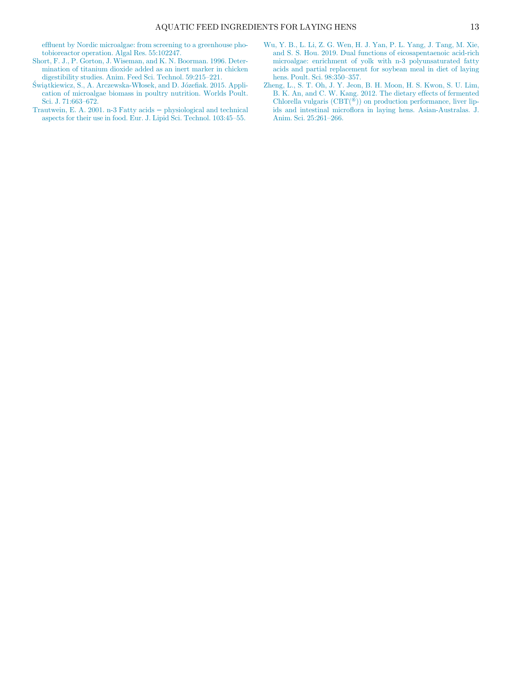<span id="page-12-2"></span>effl[uent by Nordic microalgae: from screening to a greenhouse pho](http://refhub.elsevier.com/S0032-5791(22)00176-6/sbref0040)[tobioreactor operation. Algal Res. 55:102247.](http://refhub.elsevier.com/S0032-5791(22)00176-6/sbref0040)

- <span id="page-12-3"></span>[Short, F. J., P. Gorton, J. Wiseman, and K. N. Boorman. 1996. Deter](http://refhub.elsevier.com/S0032-5791(22)00176-6/sbref0041)[mination of titanium dioxide added as an inert marker in chicken](http://refhub.elsevier.com/S0032-5791(22)00176-6/sbref0041) [digestibility studies. Anim. Feed Sci. Technol. 59:215](http://refhub.elsevier.com/S0032-5791(22)00176-6/sbref0041)–221.
- <span id="page-12-4"></span><span id="page-12-0"></span>Ś[wi](http://refhub.elsevier.com/S0032-5791(22)00176-6/sbref0042)ą[tkiewicz, S., A. Arczewska-W](http://refhub.elsevier.com/S0032-5791(22)00176-6/sbref0042)ł[osek, and D. J](http://refhub.elsevier.com/S0032-5791(22)00176-6/sbref0042)ózefi[ak. 2015. Appli](http://refhub.elsevier.com/S0032-5791(22)00176-6/sbref0042)[cation of microalgae biomass in poultry nutrition. Worlds Poult.](http://refhub.elsevier.com/S0032-5791(22)00176-6/sbref0042) [Sci. J. 71:663](http://refhub.elsevier.com/S0032-5791(22)00176-6/sbref0042)–672.
- <span id="page-12-1"></span>[Trautwein, E. A. 2001. n-3 Fatty acids](http://refhub.elsevier.com/S0032-5791(22)00176-6/sbref0043) − physiological and technical [aspects for their use in food. Eur. J. Lipid Sci. Technol. 103:45](http://refhub.elsevier.com/S0032-5791(22)00176-6/sbref0043)–55.
- [Wu, Y. B., L. Li, Z. G. Wen, H. J. Yan, P. L. Yang, J. Tang, M. Xie,](http://refhub.elsevier.com/S0032-5791(22)00176-6/sbref0044) [and S. S. Hou. 2019. Dual functions of eicosapentaenoic acid-rich](http://refhub.elsevier.com/S0032-5791(22)00176-6/sbref0044) [microalgae: enrichment of yolk with n-3 polyunsaturated fatty](http://refhub.elsevier.com/S0032-5791(22)00176-6/sbref0044) [acids and partial replacement for soybean meal in diet of laying](http://refhub.elsevier.com/S0032-5791(22)00176-6/sbref0044) [hens. Poult. Sci. 98:350](http://refhub.elsevier.com/S0032-5791(22)00176-6/sbref0044)–357.
- [Zheng, L., S. T. Oh, J. Y. Jeon, B. H. Moon, H. S. Kwon, S. U. Lim,](http://refhub.elsevier.com/S0032-5791(22)00176-6/sbref0045) [B. K. An, and C. W. Kang. 2012. The dietary effects of fermented](http://refhub.elsevier.com/S0032-5791(22)00176-6/sbref0045) Chlorella vulgaris  $(CBT({}^{\widetilde{\circ}}))$  on production performance, liver lipids and intestinal microfl[ora in laying hens. Asian-Australas. J.](http://refhub.elsevier.com/S0032-5791(22)00176-6/sbref0045) [Anim. Sci. 25:261](http://refhub.elsevier.com/S0032-5791(22)00176-6/sbref0045)–266.